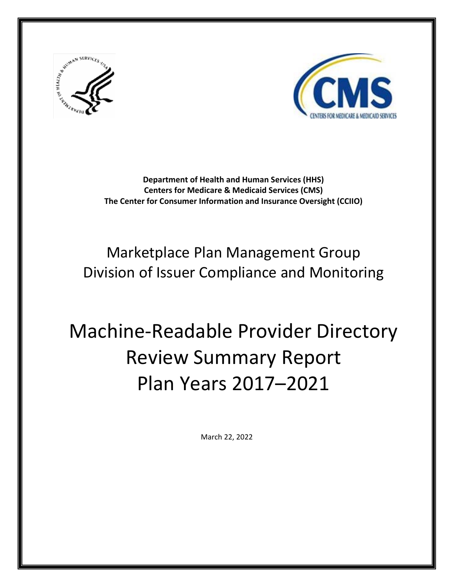



**Department of Health and Human Services (HHS) Centers for Medicare & Medicaid Services (CMS) The Center for Consumer Information and Insurance Oversight (CCIIO)**

# Marketplace Plan Management Group Division of Issuer Compliance and Monitoring

# Machine-Readable Provider Directory Review Summary Report Plan Years 2017–2021

March 22, 2022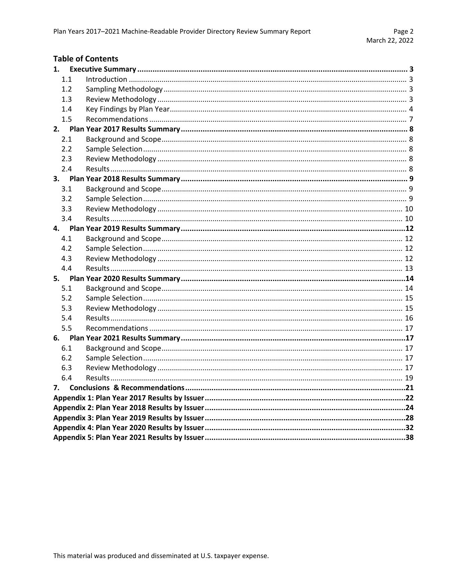#### **Table of Contents** 1.  $1.1$  $1.2$  $1.3$ 1.4  $1.5$  $2.$  $2.1$  $2.2$  $2.3$  $2.4$  $\mathbf{R}$  $3.1$  $3.2$  $3.3$  $3.4$ 4.  $4.1$  $4.2$  $4.3$  $4.4$  $5.1$  $5.2$  $5.3$  $5.4$

| 6.1 |  |  |  |  |  |  |
|-----|--|--|--|--|--|--|
| 6.2 |  |  |  |  |  |  |
| 6.3 |  |  |  |  |  |  |
| 6.4 |  |  |  |  |  |  |
|     |  |  |  |  |  |  |
|     |  |  |  |  |  |  |
|     |  |  |  |  |  |  |
|     |  |  |  |  |  |  |
|     |  |  |  |  |  |  |
|     |  |  |  |  |  |  |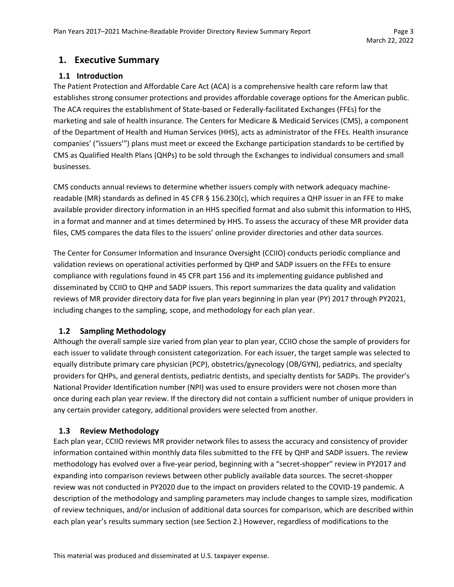# <span id="page-2-0"></span>**1. Executive Summary**

#### <span id="page-2-1"></span>**1.1 Introduction**

The Patient Protection and Affordable Care Act (ACA) is a comprehensive health care reform law that establishes strong consumer protections and provides affordable coverage options for the American public. The ACA requires the establishment of State-based or Federally-facilitated Exchanges (FFEs) for the marketing and sale of health insurance. The Centers for Medicare & Medicaid Services (CMS), a component of the Department of Health and Human Services (HHS), acts as administrator of the FFEs. Health insurance companies' ("issuers'") plans must meet or exceed the Exchange participation standards to be certified by CMS as Qualified Health Plans (QHPs) to be sold through the Exchanges to individual consumers and small businesses.

CMS conducts annual reviews to determine whether issuers comply with network adequacy machinereadable (MR) standards as defined in 45 CFR § 156.230(c), which requires a QHP issuer in an FFE to make available provider directory information in an HHS specified format and also submit this information to HHS, in a format and manner and at times determined by HHS. To assess the accuracy of these MR provider data files, CMS compares the data files to the issuers' online provider directories and other data sources.

The Center for Consumer Information and Insurance Oversight (CCIIO) conducts periodic compliance and validation reviews on operational activities performed by QHP and SADP issuers on the FFEs to ensure compliance with regulations found in 45 CFR part 156 and its implementing guidance published and disseminated by CCIIO to QHP and SADP issuers. This report summarizes the data quality and validation reviews of MR provider directory data for five plan years beginning in plan year (PY) 2017 through PY2021, including changes to the sampling, scope, and methodology for each plan year.

#### <span id="page-2-2"></span>**1.2 Sampling Methodology**

Although the overall sample size varied from plan year to plan year, CCIIO chose the sample of providers for each issuer to validate through consistent categorization. For each issuer, the target sample was selected to equally distribute primary care physician (PCP), obstetrics/gynecology (OB/GYN), pediatrics, and specialty providers for QHPs, and general dentists, pediatric dentists, and specialty dentists for SADPs. The provider's National Provider Identification number (NPI) was used to ensure providers were not chosen more than once during each plan year review. If the directory did not contain a sufficient number of unique providers in any certain provider category, additional providers were selected from another.

#### <span id="page-2-3"></span>**1.3 Review Methodology**

Each plan year, CCIIO reviews MR provider network files to assess the accuracy and consistency of provider information contained within monthly data files submitted to the FFE by QHP and SADP issuers. The review methodology has evolved over a five-year period, beginning with a "secret-shopper" review in PY2017 and expanding into comparison reviews between other publicly available data sources. The secret-shopper review was not conducted in PY2020 due to the impact on providers related to the COVID-19 pandemic. A description of the methodology and sampling parameters may include changes to sample sizes, modification of review techniques, and/or inclusion of additional data sources for comparison, which are described within each plan year's results summary section (see Section 2.) However, regardless of modifications to the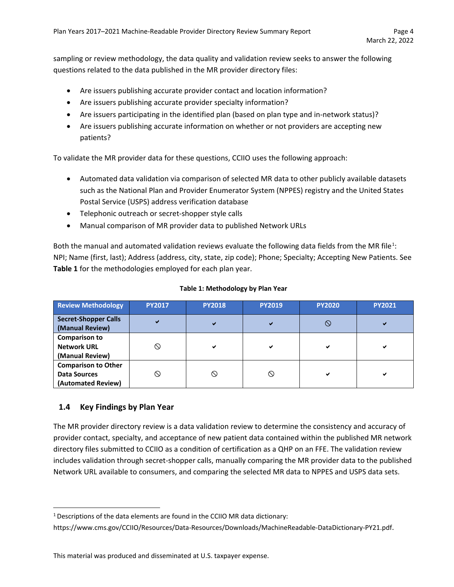sampling or review methodology, the data quality and validation review seeks to answer the following questions related to the data published in the MR provider directory files:

- Are issuers publishing accurate provider contact and location information?
- Are issuers publishing accurate provider specialty information?
- Are issuers participating in the identified plan (based on plan type and in-network status)?
- Are issuers publishing accurate information on whether or not providers are accepting new patients?

To validate the MR provider data for these questions, CCIIO uses the following approach:

- Automated data validation via comparison of selected MR data to other publicly available datasets such as the National Plan and Provider Enumerator System (NPPES) registry and the United States Postal Service (USPS) address verification database
- Telephonic outreach or secret-shopper style calls
- Manual comparison of MR provider data to published Network URLs

Both the manual and automated validation reviews evaluate the following data fields from the MR file<sup>[1](#page-3-1)</sup>: NPI; Name (first, last); Address (address, city, state, zip code); Phone; Specialty; Accepting New Patients. See **Table 1** for the methodologies employed for each plan year.

| <b>Review Methodology</b>                                               | <b>PY2017</b> | <b>PY2018</b> | <b>PY2019</b> | <b>PY2020</b> | <b>PY2021</b> |
|-------------------------------------------------------------------------|---------------|---------------|---------------|---------------|---------------|
| <b>Secret-Shopper Calls</b><br>(Manual Review)                          | $\checkmark$  | ✔             | ✔             |               | ✔             |
| <b>Comparison to</b><br><b>Network URL</b><br>(Manual Review)           | ல             | ✔             | ✔             | ✔             | ✔             |
| <b>Comparison to Other</b><br><b>Data Sources</b><br>(Automated Review) |               | ↷             | ல             | ✔             | ✔             |

#### **Table 1: Methodology by Plan Year**

#### <span id="page-3-0"></span>**1.4 Key Findings by Plan Year**

The MR provider directory review is a data validation review to determine the consistency and accuracy of provider contact, specialty, and acceptance of new patient data contained within the published MR network directory files submitted to CCIIO as a condition of certification as a QHP on an FFE. The validation review includes validation through secret-shopper calls, manually comparing the MR provider data to the published Network URL available to consumers, and comparing the selected MR data to NPPES and USPS data sets.

<span id="page-3-1"></span><sup>&</sup>lt;sup>1</sup> Descriptions of the data elements are found in the CCIIO MR data dictionary:

[https://www.cms.gov/CCIIO/Resources/Data-Resources/Downloads/MachineReadable-DataDictionary-PY21.pdf.](https://www.cms.gov/CCIIO/Resources/Data-Resources/Downloads/MachineReadable-DataDictionary-PY21.pdf)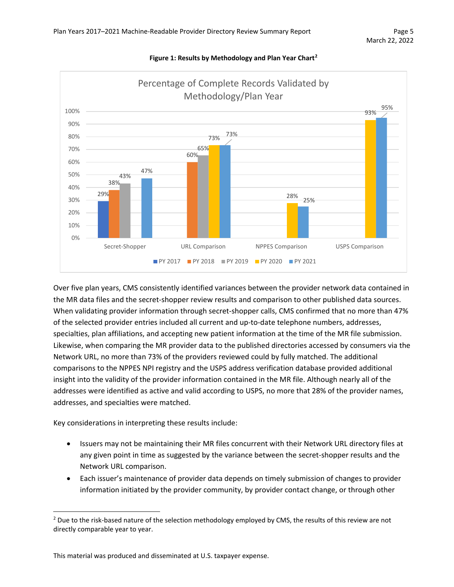

#### **Figure 1: Results by Methodology and Plan Year Chart[2](#page-4-0)**

Over five plan years, CMS consistently identified variances between the provider network data contained in the MR data files and the secret-shopper review results and comparison to other published data sources. When validating provider information through secret-shopper calls, CMS confirmed that no more than 47% of the selected provider entries included all current and up-to-date telephone numbers, addresses, specialties, plan affiliations, and accepting new patient information at the time of the MR file submission. Likewise, when comparing the MR provider data to the published directories accessed by consumers via the Network URL, no more than 73% of the providers reviewed could by fully matched. The additional comparisons to the NPPES NPI registry and the USPS address verification database provided additional insight into the validity of the provider information contained in the MR file. Although nearly all of the addresses were identified as active and valid according to USPS, no more that 28% of the provider names, addresses, and specialties were matched.

Key considerations in interpreting these results include:

- Issuers may not be maintaining their MR files concurrent with their Network URL directory files at any given point in time as suggested by the variance between the secret-shopper results and the Network URL comparison.
- Each issuer's maintenance of provider data depends on timely submission of changes to provider information initiated by the provider community, by provider contact change, or through other

<span id="page-4-0"></span><sup>&</sup>lt;sup>2</sup> Due to the risk-based nature of the selection methodology employed by CMS, the results of this review are not directly comparable year to year.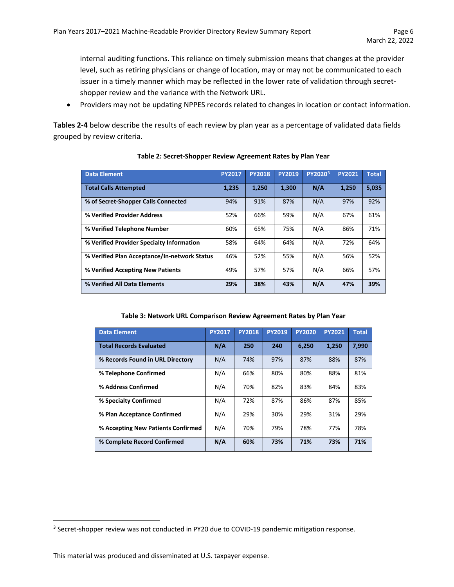internal auditing functions. This reliance on timely submission means that changes at the provider level, such as retiring physicians or change of location, may or may not be communicated to each issuer in a timely manner which may be reflected in the lower rate of validation through secretshopper review and the variance with the Network URL.

• Providers may not be updating NPPES records related to changes in location or contact information.

**Tables 2-4** below describe the results of each review by plan year as a percentage of validated data fields grouped by review criteria.

| <b>Data Element</b>                          | <b>PY2017</b> | <b>PY2018</b> | <b>PY2019</b> | PY2020 <sup>3</sup> | <b>PY2021</b> | <b>Total</b> |
|----------------------------------------------|---------------|---------------|---------------|---------------------|---------------|--------------|
| <b>Total Calls Attempted</b>                 | 1.235         | 1.250         | 1,300         | N/A                 | 1.250         | 5,035        |
| % of Secret-Shopper Calls Connected          | 94%           | 91%           | 87%           | N/A                 | 97%           | 92%          |
| % Verified Provider Address                  | 52%           | 66%           | 59%           | N/A                 | 67%           | 61%          |
| % Verified Telephone Number                  | 60%           | 65%           | 75%           | N/A                 | 86%           | 71%          |
| % Verified Provider Specialty Information    | 58%           | 64%           | 64%           | N/A                 | 72%           | 64%          |
| % Verified Plan Acceptance/In-network Status | 46%           | 52%           | 55%           | N/A                 | 56%           | 52%          |
| % Verified Accepting New Patients            | 49%           | 57%           | 57%           | N/A                 | 66%           | 57%          |
| % Verified All Data Elements                 | 29%           | 38%           | 43%           | N/A                 | 47%           | 39%          |

#### **Table 2: Secret-Shopper Review Agreement Rates by Plan Year**

**Table 3: Network URL Comparison Review Agreement Rates by Plan Year**

| <b>Data Element</b>                | <b>PY2017</b> | <b>PY2018</b> | <b>PY2019</b> | <b>PY2020</b> | <b>PY2021</b> | <b>Total</b> |
|------------------------------------|---------------|---------------|---------------|---------------|---------------|--------------|
| <b>Total Records Evaluated</b>     | N/A           | 250           | 240           | 6,250         | 1,250         | 7,990        |
| % Records Found in URL Directory   | N/A           | 74%           | 97%           | 87%           | 88%           | 87%          |
| % Telephone Confirmed              | N/A           | 66%           | 80%           | 80%           | 88%           | 81%          |
| % Address Confirmed                | N/A           | 70%           | 82%           | 83%           | 84%           | 83%          |
| % Specialty Confirmed              | N/A           | 72%           | 87%           | 86%           | 87%           | 85%          |
| % Plan Acceptance Confirmed        | N/A           | 29%           | 30%           | 29%           | 31%           | 29%          |
| % Accepting New Patients Confirmed | N/A           | 70%           | 79%           | 78%           | 77%           | 78%          |
| % Complete Record Confirmed        | N/A           | 60%           | 73%           | 71%           | 73%           | 71%          |

<span id="page-5-0"></span><sup>&</sup>lt;sup>3</sup> Secret-shopper review was not conducted in PY20 due to COVID-19 pandemic mitigation response.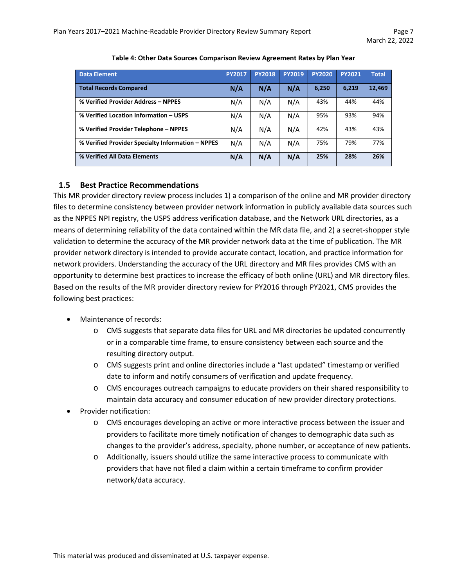| <b>Data Element</b>                               | <b>PY2017</b> | <b>PY2018</b> | <b>PY2019</b> | <b>PY2020</b> | <b>PY2021</b> | <b>Total</b> |
|---------------------------------------------------|---------------|---------------|---------------|---------------|---------------|--------------|
| <b>Total Records Compared</b>                     | N/A           | N/A           | N/A           | 6,250         | 6,219         | 12,469       |
| % Verified Provider Address - NPPES               | N/A           | N/A           | N/A           | 43%           | 44%           | 44%          |
| % Verified Location Information - USPS            | N/A           | N/A           | N/A           | 95%           | 93%           | 94%          |
| % Verified Provider Telephone - NPPES             | N/A           | N/A           | N/A           | 42%           | 43%           | 43%          |
| % Verified Provider Specialty Information - NPPES | N/A           | N/A           | N/A           | 75%           | 79%           | 77%          |
| % Verified All Data Elements                      | N/A           | N/A           | N/A           | 25%           | 28%           | 26%          |

#### **Table 4: Other Data Sources Comparison Review Agreement Rates by Plan Year**

#### <span id="page-6-0"></span>**1.5 Best Practice Recommendations**

This MR provider directory review process includes 1) a comparison of the online and MR provider directory files to determine consistency between provider network information in publicly available data sources such as the NPPES NPI registry, the USPS address verification database, and the Network URL directories, as a means of determining reliability of the data contained within the MR data file, and 2) a secret-shopper style validation to determine the accuracy of the MR provider network data at the time of publication. The MR provider network directory is intended to provide accurate contact, location, and practice information for network providers. Understanding the accuracy of the URL directory and MR files provides CMS with an opportunity to determine best practices to increase the efficacy of both online (URL) and MR directory files. Based on the results of the MR provider directory review for PY2016 through PY2021, CMS provides the following best practices:

- Maintenance of records:
	- o CMS suggests that separate data files for URL and MR directories be updated concurrently or in a comparable time frame, to ensure consistency between each source and the resulting directory output.
	- o CMS suggests print and online directories include a "last updated" timestamp or verified date to inform and notify consumers of verification and update frequency.
	- o CMS encourages outreach campaigns to educate providers on their shared responsibility to maintain data accuracy and consumer education of new provider directory protections.
- Provider notification:
	- o CMS encourages developing an active or more interactive process between the issuer and providers to facilitate more timely notification of changes to demographic data such as changes to the provider's address, specialty, phone number, or acceptance of new patients.
	- o Additionally, issuers should utilize the same interactive process to communicate with providers that have not filed a claim within a certain timeframe to confirm provider network/data accuracy.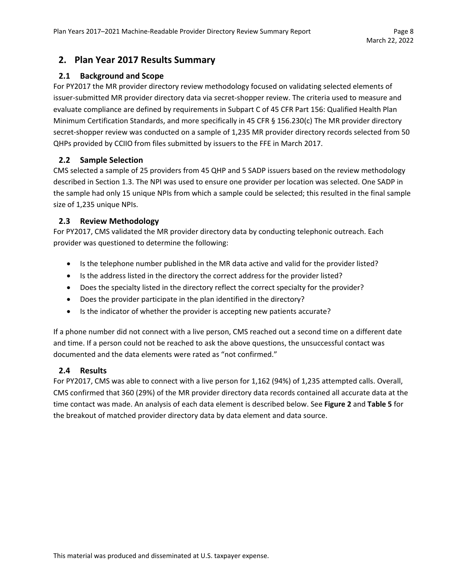# <span id="page-7-0"></span>**2. Plan Year 2017 Results Summary**

#### <span id="page-7-1"></span>**2.1 Background and Scope**

For PY2017 the MR provider directory review methodology focused on validating selected elements of issuer-submitted MR provider directory data via secret-shopper review. The criteria used to measure and evaluate compliance are defined by requirements in Subpart C of 45 CFR Part 156: Qualified Health Plan Minimum Certification Standards, and more specifically in 45 CFR § 156.230(c) The MR provider directory secret-shopper review was conducted on a sample of 1,235 MR provider directory records selected from 50 QHPs provided by CCIIO from files submitted by issuers to the FFE in March 2017.

#### <span id="page-7-2"></span>**2.2 Sample Selection**

CMS selected a sample of 25 providers from 45 QHP and 5 SADP issuers based on the review methodology described in Section 1.3. The NPI was used to ensure one provider per location was selected. One SADP in the sample had only 15 unique NPIs from which a sample could be selected; this resulted in the final sample size of 1,235 unique NPIs.

#### <span id="page-7-3"></span>**2.3 Review Methodology**

For PY2017, CMS validated the MR provider directory data by conducting telephonic outreach. Each provider was questioned to determine the following:

- Is the telephone number published in the MR data active and valid for the provider listed?
- Is the address listed in the directory the correct address for the provider listed?
- Does the specialty listed in the directory reflect the correct specialty for the provider?
- Does the provider participate in the plan identified in the directory?
- Is the indicator of whether the provider is accepting new patients accurate?

If a phone number did not connect with a live person, CMS reached out a second time on a different date and time. If a person could not be reached to ask the above questions, the unsuccessful contact was documented and the data elements were rated as "not confirmed."

#### <span id="page-7-4"></span>**2.4 Results**

For PY2017, CMS was able to connect with a live person for 1,162 (94%) of 1,235 attempted calls. Overall, CMS confirmed that 360 (29%) of the MR provider directory data records contained all accurate data at the time contact was made. An analysis of each data element is described below. See **Figure 2** and **Table 5** for the breakout of matched provider directory data by data element and data source.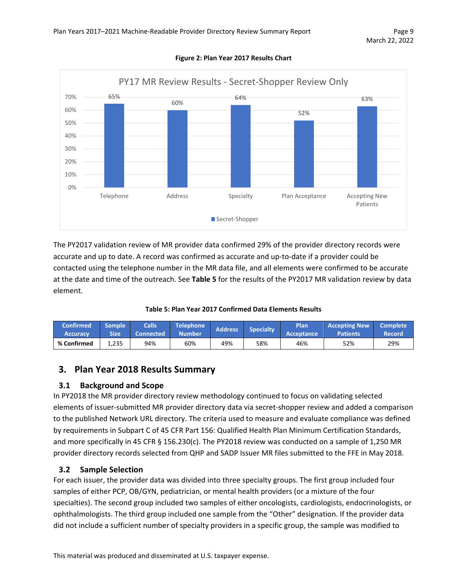

**Figure 2: Plan Year 2017 Results Chart**

The PY2017 validation review of MR provider data confirmed 29% of the provider directory records were accurate and up to date. A record was confirmed as accurate and up-to-date if a provider could be contacted using the telephone number in the MR data file, and all elements were confirmed to be accurate at the date and time of the outreach. See **Table 5** for the results of the PY2017 MR validation review by data element.

|  |  | Table 5: Plan Year 2017 Confirmed Data Elements Results |  |  |
|--|--|---------------------------------------------------------|--|--|
|  |  |                                                         |  |  |

| <b>Confirmed</b><br><b>Accuracy</b> | <b>Sample</b> '<br><b>Size</b> | <b>Calls</b><br><b>Connected</b> | <b>Telephone</b><br>Number <sup>'</sup> | <b>Address</b> | <b>Specialty</b> | <b>Plan</b><br><b>Acceptance</b> | <b>Accepting New</b><br><b>Patients</b> | <b>Complete</b><br>Record |
|-------------------------------------|--------------------------------|----------------------------------|-----------------------------------------|----------------|------------------|----------------------------------|-----------------------------------------|---------------------------|
| % Confirmed                         | 1,235                          | 94%                              | 60%                                     | 49%            | 58%              | 46%                              | 52%                                     | 29%                       |

# <span id="page-8-0"></span>**3. Plan Year 2018 Results Summary**

#### <span id="page-8-1"></span>**3.1 Background and Scope**

In PY2018 the MR provider directory review methodology continued to focus on validating selected elements of issuer-submitted MR provider directory data via secret-shopper review and added a comparison to the published Network URL directory. The criteria used to measure and evaluate compliance was defined by requirements in Subpart C of 45 CFR Part 156: Qualified Health Plan Minimum Certification Standards, and more specifically in 45 CFR § 156.230(c). The PY2018 review was conducted on a sample of 1,250 MR provider directory records selected from QHP and SADP Issuer MR files submitted to the FFE in May 2018.

#### <span id="page-8-2"></span>**3.2 Sample Selection**

For each issuer, the provider data was divided into three specialty groups. The first group included four samples of either PCP, OB/GYN, pediatrician, or mental health providers (or a mixture of the four specialties). The second group included two samples of either oncologists, cardiologists, endocrinologists, or ophthalmologists. The third group included one sample from the "Other" designation. If the provider data did not include a sufficient number of specialty providers in a specific group, the sample was modified to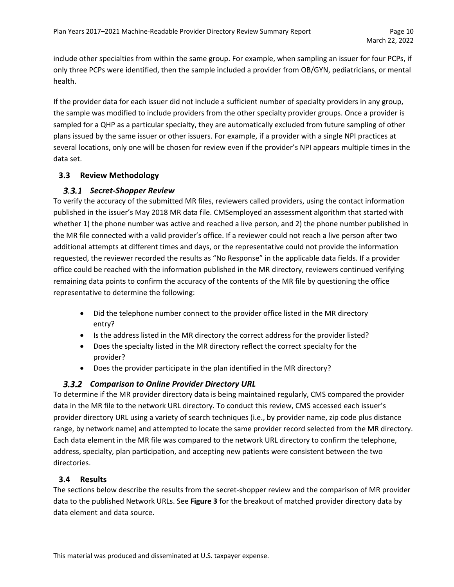include other specialties from within the same group. For example, when sampling an issuer for four PCPs, if only three PCPs were identified, then the sample included a provider from OB/GYN, pediatricians, or mental health.

If the provider data for each issuer did not include a sufficient number of specialty providers in any group, the sample was modified to include providers from the other specialty provider groups. Once a provider is sampled for a QHP as a particular specialty, they are automatically excluded from future sampling of other plans issued by the same issuer or other issuers. For example, if a provider with a single NPI practices at several locations, only one will be chosen for review even if the provider's NPI appears multiple times in the data set.

### <span id="page-9-0"></span>**3.3 Review Methodology**

### *Secret-Shopper Review*

To verify the accuracy of the submitted MR files, reviewers called providers, using the contact information published in the issuer's May 2018 MR data file. CMSemployed an assessment algorithm that started with whether 1) the phone number was active and reached a live person, and 2) the phone number published in the MR file connected with a valid provider's office. If a reviewer could not reach a live person after two additional attempts at different times and days, or the representative could not provide the information requested, the reviewer recorded the results as "No Response" in the applicable data fields. If a provider office could be reached with the information published in the MR directory, reviewers continued verifying remaining data points to confirm the accuracy of the contents of the MR file by questioning the office representative to determine the following:

- Did the telephone number connect to the provider office listed in the MR directory entry?
- Is the address listed in the MR directory the correct address for the provider listed?
- Does the specialty listed in the MR directory reflect the correct specialty for the provider?
- Does the provider participate in the plan identified in the MR directory?

### *Comparison to Online Provider Directory URL*

To determine if the MR provider directory data is being maintained regularly, CMS compared the provider data in the MR file to the network URL directory. To conduct this review, CMS accessed each issuer's provider directory URL using a variety of search techniques (i.e., by provider name, zip code plus distance range, by network name) and attempted to locate the same provider record selected from the MR directory. Each data element in the MR file was compared to the network URL directory to confirm the telephone, address, specialty, plan participation, and accepting new patients were consistent between the two directories.

### <span id="page-9-1"></span>**3.4 Results**

The sections below describe the results from the secret-shopper review and the comparison of MR provider data to the published Network URLs. See **Figure 3** for the breakout of matched provider directory data by data element and data source.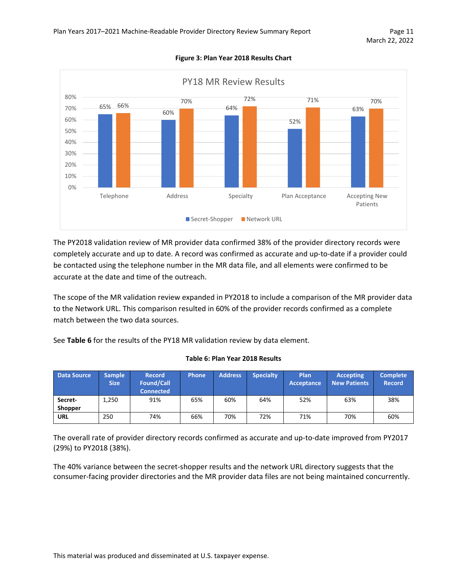

**Figure 3: Plan Year 2018 Results Chart**

The PY2018 validation review of MR provider data confirmed 38% of the provider directory records were completely accurate and up to date. A record was confirmed as accurate and up-to-date if a provider could be contacted using the telephone number in the MR data file, and all elements were confirmed to be accurate at the date and time of the outreach.

The scope of the MR validation review expanded in PY2018 to include a comparison of the MR provider data to the Network URL. This comparison resulted in 60% of the provider records confirmed as a complete match between the two data sources.

See **Table 6** for the results of the PY18 MR validation review by data element.

| <b>Data Source</b>        | Sample<br><b>Size</b> | <b>Record</b><br><b>Found/Call</b><br><b>Connected</b> | Phone | <b>Address</b> | <b>Specialty</b> | Plan<br>Acceptance | <b>Accepting</b><br><b>New Patients</b> | <b>Complete</b><br><b>Record</b> |
|---------------------------|-----------------------|--------------------------------------------------------|-------|----------------|------------------|--------------------|-----------------------------------------|----------------------------------|
| Secret-<br><b>Shopper</b> | 1,250                 | 91%                                                    | 65%   | 60%            | 64%              | 52%                | 63%                                     | 38%                              |
| <b>URL</b>                | 250                   | 74%                                                    | 66%   | 70%            | 72%              | 71%                | 70%                                     | 60%                              |

#### **Table 6: Plan Year 2018 Results**

The overall rate of provider directory records confirmed as accurate and up-to-date improved from PY2017 (29%) to PY2018 (38%).

The 40% variance between the secret-shopper results and the network URL directory suggests that the consumer-facing provider directories and the MR provider data files are not being maintained concurrently.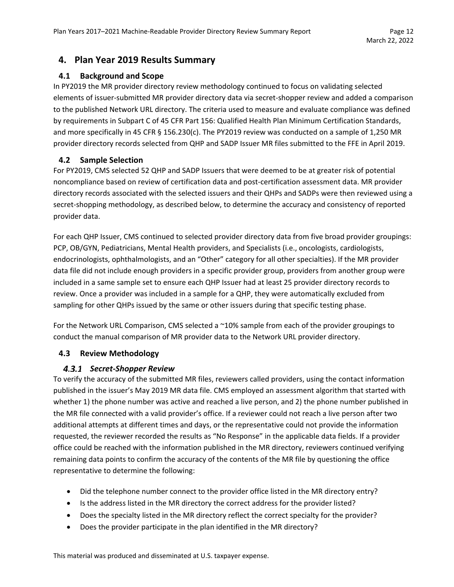# <span id="page-11-0"></span>**4. Plan Year 2019 Results Summary**

#### <span id="page-11-1"></span>**4.1 Background and Scope**

In PY2019 the MR provider directory review methodology continued to focus on validating selected elements of issuer-submitted MR provider directory data via secret-shopper review and added a comparison to the published Network URL directory. The criteria used to measure and evaluate compliance was defined by requirements in Subpart C of 45 CFR Part 156: Qualified Health Plan Minimum Certification Standards, and more specifically in 45 CFR § 156.230(c). The PY2019 review was conducted on a sample of 1,250 MR provider directory records selected from QHP and SADP Issuer MR files submitted to the FFE in April 2019.

#### <span id="page-11-2"></span>**4.2 Sample Selection**

For PY2019, CMS selected 52 QHP and SADP Issuers that were deemed to be at greater risk of potential noncompliance based on review of certification data and post-certification assessment data. MR provider directory records associated with the selected issuers and their QHPs and SADPs were then reviewed using a secret-shopping methodology, as described below, to determine the accuracy and consistency of reported provider data.

For each QHP Issuer, CMS continued to selected provider directory data from five broad provider groupings: PCP, OB/GYN, Pediatricians, Mental Health providers, and Specialists (i.e., oncologists, cardiologists, endocrinologists, ophthalmologists, and an "Other" category for all other specialties). If the MR provider data file did not include enough providers in a specific provider group, providers from another group were included in a same sample set to ensure each QHP Issuer had at least 25 provider directory records to review. Once a provider was included in a sample for a QHP, they were automatically excluded from sampling for other QHPs issued by the same or other issuers during that specific testing phase.

For the Network URL Comparison, CMS selected a ~10% sample from each of the provider groupings to conduct the manual comparison of MR provider data to the Network URL provider directory.

#### <span id="page-11-3"></span>**4.3 Review Methodology**

### *Secret-Shopper Review*

To verify the accuracy of the submitted MR files, reviewers called providers, using the contact information published in the issuer's May 2019 MR data file. CMS employed an assessment algorithm that started with whether 1) the phone number was active and reached a live person, and 2) the phone number published in the MR file connected with a valid provider's office. If a reviewer could not reach a live person after two additional attempts at different times and days, or the representative could not provide the information requested, the reviewer recorded the results as "No Response" in the applicable data fields. If a provider office could be reached with the information published in the MR directory, reviewers continued verifying remaining data points to confirm the accuracy of the contents of the MR file by questioning the office representative to determine the following:

- Did the telephone number connect to the provider office listed in the MR directory entry?
- Is the address listed in the MR directory the correct address for the provider listed?
- Does the specialty listed in the MR directory reflect the correct specialty for the provider?
- Does the provider participate in the plan identified in the MR directory?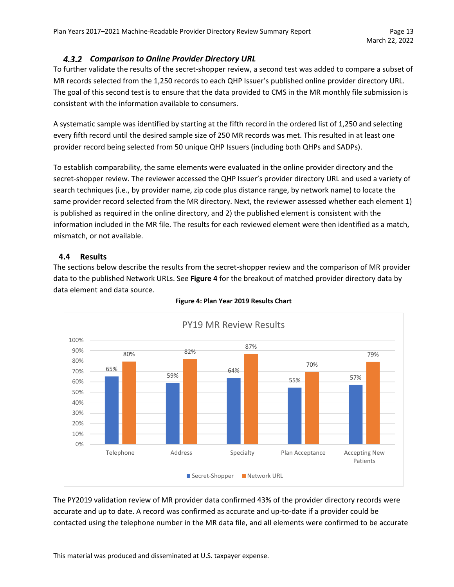### *Comparison to Online Provider Directory URL*

To further validate the results of the secret-shopper review, a second test was added to compare a subset of MR records selected from the 1,250 records to each QHP Issuer's published online provider directory URL. The goal of this second test is to ensure that the data provided to CMS in the MR monthly file submission is consistent with the information available to consumers.

A systematic sample was identified by starting at the fifth record in the ordered list of 1,250 and selecting every fifth record until the desired sample size of 250 MR records was met. This resulted in at least one provider record being selected from 50 unique QHP Issuers (including both QHPs and SADPs).

To establish comparability, the same elements were evaluated in the online provider directory and the secret-shopper review. The reviewer accessed the QHP Issuer's provider directory URL and used a variety of search techniques (i.e., by provider name, zip code plus distance range, by network name) to locate the same provider record selected from the MR directory. Next, the reviewer assessed whether each element 1) is published as required in the online directory, and 2) the published element is consistent with the information included in the MR file. The results for each reviewed element were then identified as a match, mismatch, or not available.

### <span id="page-12-0"></span>**4.4 Results**

The sections below describe the results from the secret-shopper review and the comparison of MR provider data to the published Network URLs. See **Figure 4** for the breakout of matched provider directory data by data element and data source.



#### **Figure 4: Plan Year 2019 Results Chart**

The PY2019 validation review of MR provider data confirmed 43% of the provider directory records were accurate and up to date. A record was confirmed as accurate and up-to-date if a provider could be contacted using the telephone number in the MR data file, and all elements were confirmed to be accurate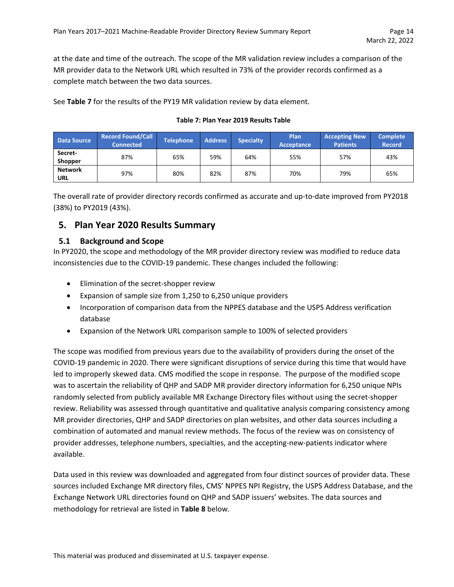at the date and time of the outreach. The scope of the MR validation review includes a comparison of the MR provider data to the Network URL which resulted in 73% of the provider records confirmed as a complete match between the two data sources.

See **Table 7** for the results of the PY19 MR validation review by data element.

#### **Table 7: Plan Year 2019 Results Table**

| <b>Data Source</b>           | <b>Record Found/Call</b><br><b>Connected</b> | <b>Telephone</b> | <b>Address</b> | <b>Specialty</b> | Plan<br><b>Acceptance</b> | <b>Accepting New</b><br><b>Patients</b> | <b>Complete</b><br><b>Record</b> |
|------------------------------|----------------------------------------------|------------------|----------------|------------------|---------------------------|-----------------------------------------|----------------------------------|
| Secret-<br><b>Shopper</b>    | 87%                                          | 65%              | 59%            | 64%              | 55%                       | 57%                                     | 43%                              |
| <b>Network</b><br><b>URL</b> | 97%                                          | 80%              | 82%            | 87%              | 70%                       | 79%                                     | 65%                              |

The overall rate of provider directory records confirmed as accurate and up-to-date improved from PY2018 (38%) to PY2019 (43%).

# <span id="page-13-0"></span>**5. Plan Year 2020 Results Summary**

#### <span id="page-13-1"></span>**5.1 Background and Scope**

In PY2020, the scope and methodology of the MR provider directory review was modified to reduce data inconsistencies due to the COVID-19 pandemic. These changes included the following:

- Elimination of the secret-shopper review
- Expansion of sample size from 1,250 to 6,250 unique providers
- Incorporation of comparison data from the NPPES database and the USPS Address verification database
- Expansion of the Network URL comparison sample to 100% of selected providers

The scope was modified from previous years due to the availability of providers during the onset of the COVID-19 pandemic in 2020. There were significant disruptions of service during this time that would have led to improperly skewed data. CMS modified the scope in response. The purpose of the modified scope was to ascertain the reliability of QHP and SADP MR provider directory information for 6,250 unique NPIs randomly selected from publicly available MR Exchange Directory files without using the secret-shopper review. Reliability was assessed through quantitative and qualitative analysis comparing consistency among MR provider directories, QHP and SADP directories on plan websites, and other data sources including a combination of automated and manual review methods. The focus of the review was on consistency of provider addresses, telephone numbers, specialties, and the accepting-new-patients indicator where available.

Data used in this review was downloaded and aggregated from four distinct sources of provider data. These sources included Exchange MR directory files, CMS' NPPES NPI Registry, the USPS Address Database, and the Exchange Network URL directories found on QHP and SADP issuers' websites. The data sources and methodology for retrieval are listed in **Table 8** below.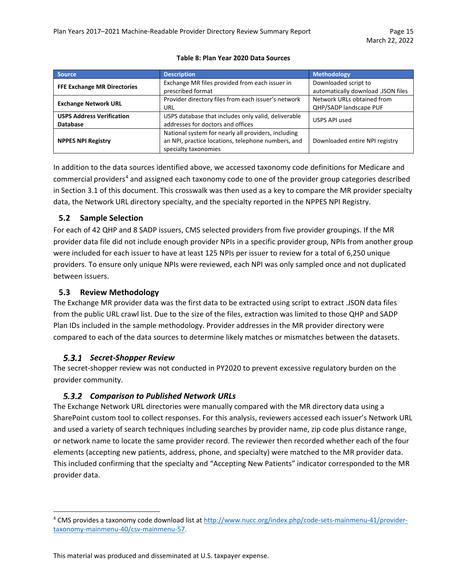| <b>Source</b>                                       | <b>Description</b>                                                                                                                | <b>Methodology</b>                                         |
|-----------------------------------------------------|-----------------------------------------------------------------------------------------------------------------------------------|------------------------------------------------------------|
| <b>FFE Exchange MR Directories</b>                  | Exchange MR files provided from each issuer in<br>prescribed format                                                               | Downloaded script to<br>automatically download .JSON files |
| <b>Exchange Network URL</b>                         | Provider directory files from each issuer's network<br>URL                                                                        | Network URLs obtained from<br>QHP/SADP landscape PUF       |
| <b>USPS Address Verification</b><br><b>Database</b> | USPS database that includes only valid, deliverable<br>addresses for doctors and offices                                          | USPS API used                                              |
| <b>NPPES NPI Registry</b>                           | National system for nearly all providers, including<br>an NPI, practice locations, telephone numbers, and<br>specialty taxonomies | Downloaded entire NPI registry                             |

#### **Table 8: Plan Year 2020 Data Sources**

In addition to the data sources identified above, we accessed taxonomy code definitions for Medicare and commercial providers<sup>[4](#page-14-2)</sup> and assigned each taxonomy code to one of the provider group categories described in Section 3.1 of this document. This crosswalk was then used as a key to compare the MR provider specialty data, the Network URL directory specialty, and the specialty reported in the NPPES NPI Registry.

#### <span id="page-14-0"></span>**5.2 Sample Selection**

For each of 42 QHP and 8 SADP issuers, CMS selected providers from five provider groupings. If the MR provider data file did not include enough provider NPIs in a specific provider group, NPIs from another group were included for each issuer to have at least 125 NPIs per issuer to review for a total of 6,250 unique providers. To ensure only unique NPIs were reviewed, each NPI was only sampled once and not duplicated between issuers.

#### <span id="page-14-1"></span>**5.3 Review Methodology**

The Exchange MR provider data was the first data to be extracted using script to extract .JSON data files from the public URL crawl list. Due to the size of the files, extraction was limited to those QHP and SADP Plan IDs included in the sample methodology. Provider addresses in the MR provider directory were compared to each of the data sources to determine likely matches or mismatches between the datasets.

#### *Secret-Shopper Review*

The secret-shopper review was not conducted in PY2020 to prevent excessive regulatory burden on the provider community.

### *Comparison to Published Network URLs*

The Exchange Network URL directories were manually compared with the MR directory data using a SharePoint custom tool to collect responses. For this analysis, reviewers accessed each issuer's Network URL and used a variety of search techniques including searches by provider name, zip code plus distance range, or network name to locate the same provider record. The reviewer then recorded whether each of the four elements (accepting new patients, address, phone, and specialty) were matched to the MR provider data. This included confirming that the specialty and "Accepting New Patients" indicator corresponded to the MR provider data.

<span id="page-14-2"></span><sup>&</sup>lt;sup>4</sup> CMS provides a taxonomy code download list at [http://www.nucc.org/index.php/code-sets-mainmenu-41/provider](http://www.nucc.org/index.php/code-sets-mainmenu-41/provider-taxonomy-mainmenu-40/csv-mainmenu-57)[taxonomy-mainmenu-40/csv-mainmenu-57.](http://www.nucc.org/index.php/code-sets-mainmenu-41/provider-taxonomy-mainmenu-40/csv-mainmenu-57)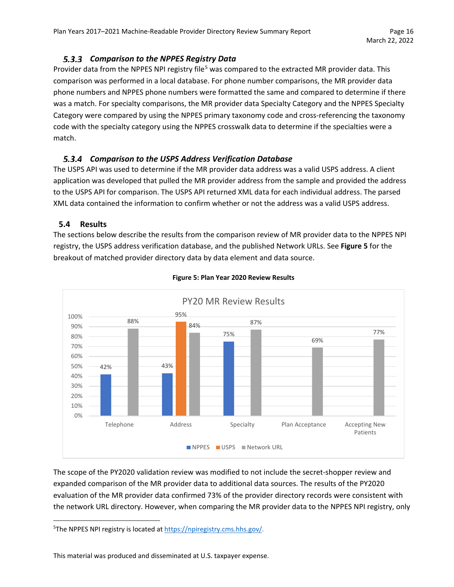# *Comparison to the NPPES Registry Data*

Provider data from the NPPES NPI registry file<sup>[5](#page-15-1)</sup> was compared to the extracted MR provider data. This comparison was performed in a local database. For phone number comparisons, the MR provider data phone numbers and NPPES phone numbers were formatted the same and compared to determine if there was a match. For specialty comparisons, the MR provider data Specialty Category and the NPPES Specialty Category were compared by using the NPPES primary taxonomy code and cross-referencing the taxonomy code with the specialty category using the NPPES crosswalk data to determine if the specialties were a match.

### *Comparison to the USPS Address Verification Database*

The USPS API was used to determine if the MR provider data address was a valid USPS address. A client application was developed that pulled the MR provider address from the sample and provided the address to the USPS API for comparison. The USPS API returned XML data for each individual address. The parsed XML data contained the information to confirm whether or not the address was a valid USPS address.

#### <span id="page-15-0"></span>**5.4 Results**

The sections below describe the results from the comparison review of MR provider data to the NPPES NPI registry, the USPS address verification database, and the published Network URLs. See **Figure 5** for the breakout of matched provider directory data by data element and data source.



#### **Figure 5: Plan Year 2020 Review Results**

The scope of the PY2020 validation review was modified to not include the secret-shopper review and expanded comparison of the MR provider data to additional data sources. The results of the PY2020 evaluation of the MR provider data confirmed 73% of the provider directory records were consistent with the network URL directory. However, when comparing the MR provider data to the NPPES NPI registry, only

<span id="page-15-1"></span><sup>&</sup>lt;sup>5</sup>The NPPES NPI registry is located at [https://npiregistry.cms.hhs.gov/.](https://npiregistry.cms.hhs.gov/)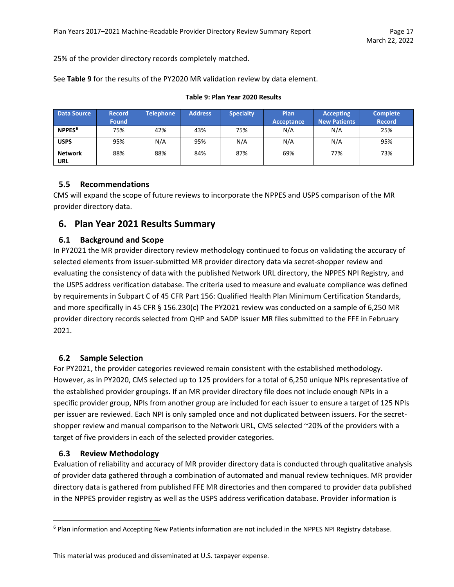25% of the provider directory records completely matched.

See **Table 9** for the results of the PY2020 MR validation review by data element.

| <b>Data Source</b>           | <b>Record</b> | <b>Telephone</b> | <b>Address</b> | <b>Specialty</b> | Plan       | <b>Accepting</b>    | <b>Complete</b> |
|------------------------------|---------------|------------------|----------------|------------------|------------|---------------------|-----------------|
|                              | <b>Found</b>  |                  |                |                  | Acceptance | <b>New Patients</b> | <b>Record</b>   |
| NPPES <sup>6</sup>           | 75%           | 42%              | 43%            | 75%              | N/A        | N/A                 | 25%             |
| <b>USPS</b>                  | 95%           | N/A              | 95%            | N/A              | N/A        | N/A                 | 95%             |
| <b>Network</b><br><b>URL</b> | 88%           | 88%              | 84%            | 87%              | 69%        | 77%                 | 73%             |

#### **Table 9: Plan Year 2020 Results**

### <span id="page-16-0"></span>**5.5 Recommendations**

CMS will expand the scope of future reviews to incorporate the NPPES and USPS comparison of the MR provider directory data.

# <span id="page-16-1"></span>**6. Plan Year 2021 Results Summary**

#### <span id="page-16-2"></span>**6.1 Background and Scope**

In PY2021 the MR provider directory review methodology continued to focus on validating the accuracy of selected elements from issuer-submitted MR provider directory data via secret-shopper review and evaluating the consistency of data with the published Network URL directory, the NPPES NPI Registry, and the USPS address verification database. The criteria used to measure and evaluate compliance was defined by requirements in Subpart C of 45 CFR Part 156: Qualified Health Plan Minimum Certification Standards, and more specifically in 45 CFR § 156.230(c) The PY2021 review was conducted on a sample of 6,250 MR provider directory records selected from QHP and SADP Issuer MR files submitted to the FFE in February 2021.

### <span id="page-16-3"></span>**6.2 Sample Selection**

For PY2021, the provider categories reviewed remain consistent with the established methodology. However, as in PY2020, CMS selected up to 125 providers for a total of 6,250 unique NPIs representative of the established provider groupings. If an MR provider directory file does not include enough NPIs in a specific provider group, NPIs from another group are included for each issuer to ensure a target of 125 NPIs per issuer are reviewed. Each NPI is only sampled once and not duplicated between issuers. For the secretshopper review and manual comparison to the Network URL, CMS selected ~20% of the providers with a target of five providers in each of the selected provider categories.

#### <span id="page-16-4"></span>**6.3 Review Methodology**

Evaluation of reliability and accuracy of MR provider directory data is conducted through qualitative analysis of provider data gathered through a combination of automated and manual review techniques. MR provider directory data is gathered from published FFE MR directories and then compared to provider data published in the NPPES provider registry as well as the USPS address verification database. Provider information is

<span id="page-16-5"></span><sup>6</sup> Plan information and Accepting New Patients information are not included in the NPPES NPI Registry database.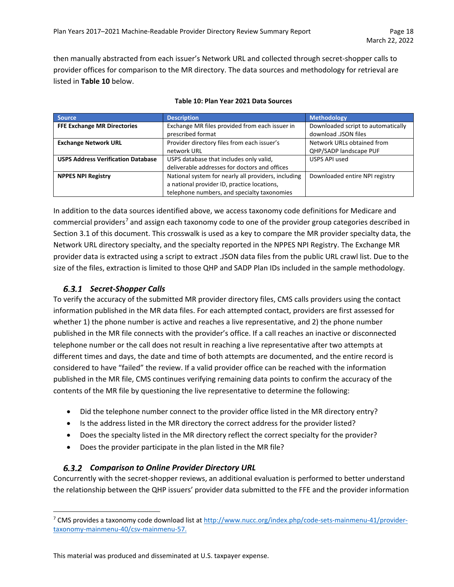then manually abstracted from each issuer's Network URL and collected through secret-shopper calls to provider offices for comparison to the MR directory. The data sources and methodology for retrieval are listed in **Table 10** below.

| <b>Source</b>                             | <b>Description</b>                                  | <b>Methodology</b>                 |
|-------------------------------------------|-----------------------------------------------------|------------------------------------|
| <b>FFE Exchange MR Directories</b>        | Exchange MR files provided from each issuer in      | Downloaded script to automatically |
|                                           | prescribed format                                   | download .JSON files               |
| <b>Exchange Network URL</b>               | Provider directory files from each issuer's         | Network URLs obtained from         |
|                                           | network URL                                         | QHP/SADP landscape PUF             |
| <b>USPS Address Verification Database</b> | USPS database that includes only valid,             | USPS API used                      |
|                                           | deliverable addresses for doctors and offices       |                                    |
| <b>NPPES NPI Registry</b>                 | National system for nearly all providers, including | Downloaded entire NPI registry     |
|                                           | a national provider ID, practice locations,         |                                    |
|                                           | telephone numbers, and specialty taxonomies         |                                    |

#### **Table 10: Plan Year 2021 Data Sources**

In addition to the data sources identified above, we access taxonomy code definitions for Medicare and commercial providers<sup>[7](#page-17-0)</sup> and assign each taxonomy code to one of the provider group categories described in Section 3.1 of this document. This crosswalk is used as a key to compare the MR provider specialty data, the Network URL directory specialty, and the specialty reported in the NPPES NPI Registry. The Exchange MR provider data is extracted using a script to extract .JSON data files from the public URL crawl list. Due to the size of the files, extraction is limited to those QHP and SADP Plan IDs included in the sample methodology.

### *Secret-Shopper Calls*

To verify the accuracy of the submitted MR provider directory files, CMS calls providers using the contact information published in the MR data files. For each attempted contact, providers are first assessed for whether 1) the phone number is active and reaches a live representative, and 2) the phone number published in the MR file connects with the provider's office. If a call reaches an inactive or disconnected telephone number or the call does not result in reaching a live representative after two attempts at different times and days, the date and time of both attempts are documented, and the entire record is considered to have "failed" the review. If a valid provider office can be reached with the information published in the MR file, CMS continues verifying remaining data points to confirm the accuracy of the contents of the MR file by questioning the live representative to determine the following:

- Did the telephone number connect to the provider office listed in the MR directory entry?
- Is the address listed in the MR directory the correct address for the provider listed?
- Does the specialty listed in the MR directory reflect the correct specialty for the provider?
- Does the provider participate in the plan listed in the MR file?

#### *Comparison to Online Provider Directory URL*

Concurrently with the secret-shopper reviews, an additional evaluation is performed to better understand the relationship between the QHP issuers' provider data submitted to the FFE and the provider information

<span id="page-17-0"></span><sup>&</sup>lt;sup>7</sup> CMS provides a taxonomy code download list at [http://www.nucc.org/index.php/code-sets-mainmenu-41/provider](http://www.nucc.org/index.php/code-sets-mainmenu-41/provider-taxonomy-mainmenu-40/csv-mainmenu-57)[taxonomy-mainmenu-40/csv-mainmenu-57.](http://www.nucc.org/index.php/code-sets-mainmenu-41/provider-taxonomy-mainmenu-40/csv-mainmenu-57)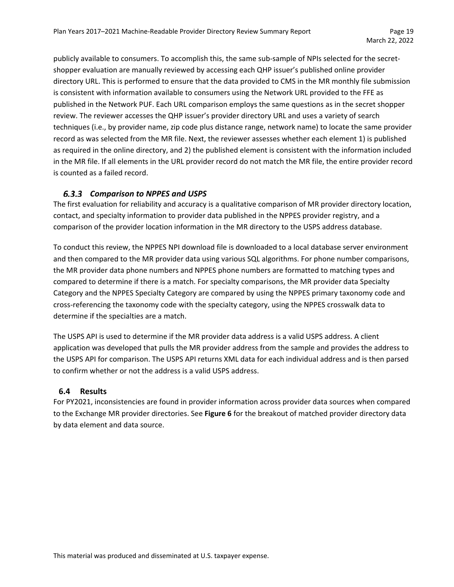publicly available to consumers. To accomplish this, the same sub-sample of NPIs selected for the secretshopper evaluation are manually reviewed by accessing each QHP issuer's published online provider directory URL. This is performed to ensure that the data provided to CMS in the MR monthly file submission is consistent with information available to consumers using the Network URL provided to the FFE as published in the Network PUF. Each URL comparison employs the same questions as in the secret shopper review. The reviewer accesses the QHP issuer's provider directory URL and uses a variety of search techniques (i.e., by provider name, zip code plus distance range, network name) to locate the same provider record as was selected from the MR file. Next, the reviewer assesses whether each element 1) is published as required in the online directory, and 2) the published element is consistent with the information included in the MR file. If all elements in the URL provider record do not match the MR file, the entire provider record is counted as a failed record.

#### *Comparison to NPPES and USPS*

The first evaluation for reliability and accuracy is a qualitative comparison of MR provider directory location, contact, and specialty information to provider data published in the NPPES provider registry, and a comparison of the provider location information in the MR directory to the USPS address database.

To conduct this review, the NPPES NPI download file is downloaded to a local database server environment and then compared to the MR provider data using various SQL algorithms. For phone number comparisons, the MR provider data phone numbers and NPPES phone numbers are formatted to matching types and compared to determine if there is a match. For specialty comparisons, the MR provider data Specialty Category and the NPPES Specialty Category are compared by using the NPPES primary taxonomy code and cross-referencing the taxonomy code with the specialty category, using the NPPES crosswalk data to determine if the specialties are a match.

The USPS API is used to determine if the MR provider data address is a valid USPS address. A client application was developed that pulls the MR provider address from the sample and provides the address to the USPS API for comparison. The USPS API returns XML data for each individual address and is then parsed to confirm whether or not the address is a valid USPS address.

#### <span id="page-18-0"></span>**6.4 Results**

For PY2021, inconsistencies are found in provider information across provider data sources when compared to the Exchange MR provider directories. See **Figure 6** for the breakout of matched provider directory data by data element and data source.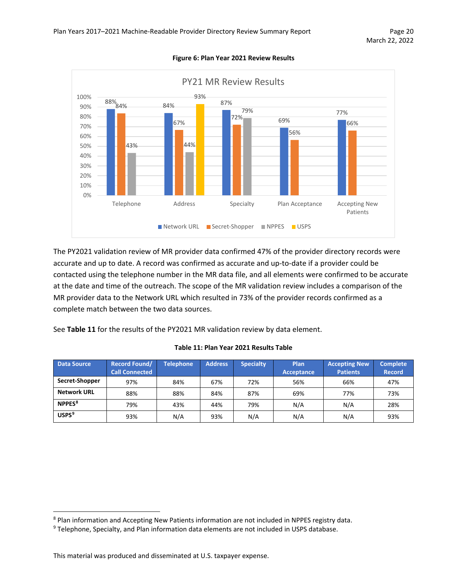

**Figure 6: Plan Year 2021 Review Results**

The PY2021 validation review of MR provider data confirmed 47% of the provider directory records were accurate and up to date. A record was confirmed as accurate and up-to-date if a provider could be contacted using the telephone number in the MR data file, and all elements were confirmed to be accurate at the date and time of the outreach. The scope of the MR validation review includes a comparison of the MR provider data to the Network URL which resulted in 73% of the provider records confirmed as a complete match between the two data sources.

See **Table 11** for the results of the PY2021 MR validation review by data element.

| <b>Data Source</b> | <b>Record Found/</b><br><b>Call Connected</b> | <b>Telephone</b> | <b>Address</b> | <b>Specialty</b> | Plan<br>Acceptance | <b>Accepting New</b><br><b>Patients</b> | <b>Complete</b><br><b>Record</b> |
|--------------------|-----------------------------------------------|------------------|----------------|------------------|--------------------|-----------------------------------------|----------------------------------|
| Secret-Shopper     | 97%                                           | 84%              | 67%            | 72%              | 56%                | 66%                                     | 47%                              |
| <b>Network URL</b> | 88%                                           | 88%              | 84%            | 87%              | 69%                | 77%                                     | 73%                              |
| NPPES <sup>8</sup> | 79%                                           | 43%              | 44%            | 79%              | N/A                | N/A                                     | 28%                              |
| USPS <sup>9</sup>  | 93%                                           | N/A              | 93%            | N/A              | N/A                | N/A                                     | 93%                              |

#### **Table 11: Plan Year 2021 Results Table**

<span id="page-19-0"></span><sup>8</sup> Plan information and Accepting New Patients information are not included in NPPES registry data.

<span id="page-19-1"></span><sup>9</sup> Telephone, Specialty, and Plan information data elements are not included in USPS database.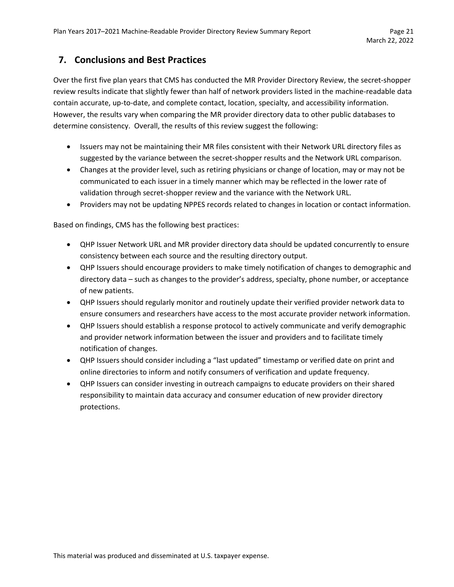# <span id="page-20-0"></span>**7. Conclusions and Best Practices**

Over the first five plan years that CMS has conducted the MR Provider Directory Review, the secret-shopper review results indicate that slightly fewer than half of network providers listed in the machine-readable data contain accurate, up-to-date, and complete contact, location, specialty, and accessibility information. However, the results vary when comparing the MR provider directory data to other public databases to determine consistency. Overall, the results of this review suggest the following:

- Issuers may not be maintaining their MR files consistent with their Network URL directory files as suggested by the variance between the secret-shopper results and the Network URL comparison.
- Changes at the provider level, such as retiring physicians or change of location, may or may not be communicated to each issuer in a timely manner which may be reflected in the lower rate of validation through secret-shopper review and the variance with the Network URL.
- Providers may not be updating NPPES records related to changes in location or contact information.

Based on findings, CMS has the following best practices:

- QHP Issuer Network URL and MR provider directory data should be updated concurrently to ensure consistency between each source and the resulting directory output.
- QHP Issuers should encourage providers to make timely notification of changes to demographic and directory data – such as changes to the provider's address, specialty, phone number, or acceptance of new patients.
- QHP Issuers should regularly monitor and routinely update their verified provider network data to ensure consumers and researchers have access to the most accurate provider network information.
- QHP Issuers should establish a response protocol to actively communicate and verify demographic and provider network information between the issuer and providers and to facilitate timely notification of changes.
- QHP Issuers should consider including a "last updated" timestamp or verified date on print and online directories to inform and notify consumers of verification and update frequency.
- QHP Issuers can consider investing in outreach campaigns to educate providers on their shared responsibility to maintain data accuracy and consumer education of new provider directory protections.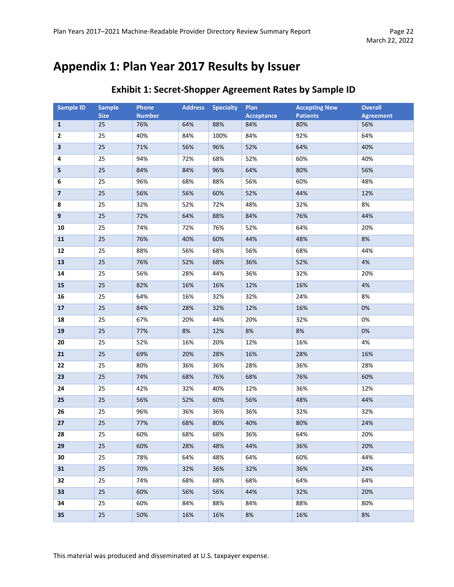# <span id="page-21-0"></span>**Appendix 1: Plan Year 2017 Results by Issuer**

| <b>Sample ID</b>        | <b>Sample</b><br><b>Size</b> | Phone<br><b>Number</b> | <b>Address</b> | <b>Specialty</b> | Plan<br>Acceptance | <b>Accepting New</b><br><b>Patients</b> | <b>Overall</b><br><b>Agreement</b> |
|-------------------------|------------------------------|------------------------|----------------|------------------|--------------------|-----------------------------------------|------------------------------------|
| $\mathbf{1}$            | 25                           | 76%                    | 64%            | 88%              | 84%                | 80%                                     | 56%                                |
| 2                       | 25                           | 40%                    | 84%            | 100%             | 84%                | 92%                                     | 64%                                |
| 3                       | 25                           | 71%                    | 56%            | 96%              | 52%                | 64%                                     | 40%                                |
| 4                       | 25                           | 94%                    | 72%            | 68%              | 52%                | 60%                                     | 40%                                |
| 5                       | 25                           | 84%                    | 84%            | 96%              | 64%                | 80%                                     | 56%                                |
| 6                       | 25                           | 96%                    | 68%            | 88%              | 56%                | 60%                                     | 48%                                |
| $\overline{\mathbf{z}}$ | 25                           | 56%                    | 56%            | 60%              | 52%                | 44%                                     | 12%                                |
| 8                       | 25                           | 32%                    | 52%            | 72%              | 48%                | 32%                                     | 8%                                 |
| 9                       | 25                           | 72%                    | 64%            | 88%              | 84%                | 76%                                     | 44%                                |
| 10                      | 25                           | 74%                    | 72%            | 76%              | 52%                | 64%                                     | 20%                                |
| 11                      | 25                           | 76%                    | 40%            | 60%              | 44%                | 48%                                     | 8%                                 |
| 12                      | 25                           | 88%                    | 56%            | 68%              | 56%                | 68%                                     | 44%                                |
| 13                      | 25                           | 76%                    | 52%            | 68%              | 36%                | 52%                                     | 4%                                 |
| 14                      | 25                           | 56%                    | 28%            | 44%              | 36%                | 32%                                     | 20%                                |
| 15                      | 25                           | 82%                    | 16%            | 16%              | 12%                | 16%                                     | 4%                                 |
| 16                      | 25                           | 64%                    | 16%            | 32%              | 32%                | 24%                                     | 8%                                 |
| 17                      | 25                           | 84%                    | 28%            | 32%              | 12%                | 16%                                     | 0%                                 |
| 18                      | 25                           | 67%                    | 20%            | 44%              | 20%                | 32%                                     | 0%                                 |
| 19                      | 25                           | 77%                    | 8%             | 12%              | 8%                 | 8%                                      | 0%                                 |
| 20                      | 25                           | 52%                    | 16%            | 20%              | 12%                | 16%                                     | 4%                                 |
| 21                      | 25                           | 69%                    | 20%            | 28%              | 16%                | 28%                                     | 16%                                |
| 22                      | 25                           | 80%                    | 36%            | 36%              | 28%                | 36%                                     | 28%                                |
| 23                      | 25                           | 74%                    | 68%            | 76%              | 68%                | 76%                                     | 60%                                |
| 24                      | 25                           | 42%                    | 32%            | 40%              | 12%                | 36%                                     | 12%                                |
| 25                      | 25                           | 56%                    | 52%            | 60%              | 56%                | 48%                                     | 44%                                |
| 26                      | 25                           | 96%                    | 36%            | 36%              | 36%                | 32%                                     | 32%                                |
| 27                      | 25                           | 77%                    | 68%            | 80%              | 40%                | 80%                                     | 24%                                |
| 28                      | 25                           | 60%                    | 68%            | 68%              | 36%                | 64%                                     | 20%                                |
| 29                      | 25                           | 60%                    | 28%            | 48%              | 44%                | 36%                                     | 20%                                |
| 30                      | 25                           | 78%                    | 64%            | 48%              | 64%                | 60%                                     | 44%                                |
| 31                      | 25                           | 70%                    | 32%            | 36%              | 32%                | 36%                                     | 24%                                |
| 32                      | 25                           | 74%                    | 68%            | 68%              | 68%                | 64%                                     | 64%                                |
| 33                      | 25                           | 60%                    | 56%            | 56%              | 44%                | 32%                                     | 20%                                |
| 34                      | 25                           | 60%                    | 84%            | 88%              | 84%                | 88%                                     | 80%                                |
| 35                      | 25                           | 50%                    | 16%            | 16%              | 8%                 | 16%                                     | 8%                                 |

# **Exhibit 1: Secret-Shopper Agreement Rates by Sample ID**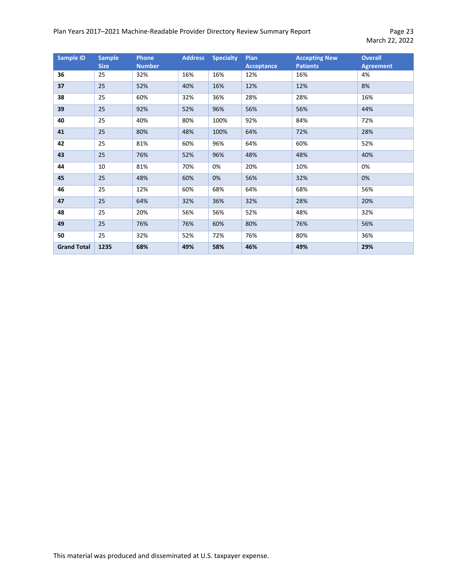# Plan Years 2017-2021 Machine-Readable Provider Directory Review Summary Report Page 23

March 22, 2022

| <b>Sample ID</b>   | <b>Sample</b><br><b>Size</b> | <b>Phone</b><br><b>Number</b> | <b>Address</b> | <b>Specialty</b> | <b>Plan</b><br><b>Acceptance</b> | <b>Accepting New</b><br><b>Patients</b> | <b>Overall</b><br><b>Agreement</b> |
|--------------------|------------------------------|-------------------------------|----------------|------------------|----------------------------------|-----------------------------------------|------------------------------------|
| 36                 | 25                           | 32%                           | 16%            | 16%              | 12%                              | 16%                                     | 4%                                 |
| 37                 | 25                           | 52%                           | 40%            | 16%              | 12%                              | 12%                                     | 8%                                 |
| 38                 | 25                           | 60%                           | 32%            | 36%              | 28%                              | 28%                                     | 16%                                |
| 39                 | 25                           | 92%                           | 52%            | 96%              | 56%                              | 56%                                     | 44%                                |
| 40                 | 25                           | 40%                           | 80%            | 100%             | 92%                              | 84%                                     | 72%                                |
| 41                 | 25                           | 80%                           | 48%            | 100%             | 64%                              | 72%                                     | 28%                                |
| 42                 | 25                           | 81%                           | 60%            | 96%              | 64%                              | 60%                                     | 52%                                |
| 43                 | 25                           | 76%                           | 52%            | 96%              | 48%                              | 48%                                     | 40%                                |
| 44                 | 10                           | 81%                           | 70%            | 0%               | 20%                              | 10%                                     | 0%                                 |
| 45                 | 25                           | 48%                           | 60%            | 0%               | 56%                              | 32%                                     | 0%                                 |
| 46                 | 25                           | 12%                           | 60%            | 68%              | 64%                              | 68%                                     | 56%                                |
| 47                 | 25                           | 64%                           | 32%            | 36%              | 32%                              | 28%                                     | 20%                                |
| 48                 | 25                           | 20%                           | 56%            | 56%              | 52%                              | 48%                                     | 32%                                |
| 49                 | 25                           | 76%                           | 76%            | 60%              | 80%                              | 76%                                     | 56%                                |
| 50                 | 25                           | 32%                           | 52%            | 72%              | 76%                              | 80%                                     | 36%                                |
| <b>Grand Total</b> | 1235                         | 68%                           | 49%            | 58%              | 46%                              | 49%                                     | 29%                                |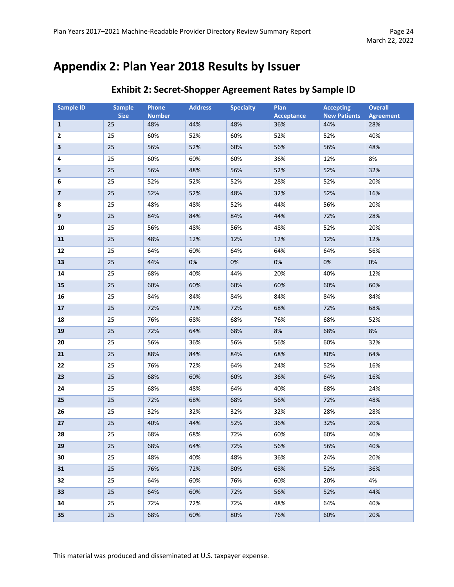# <span id="page-23-0"></span>**Appendix 2: Plan Year 2018 Results by Issuer**

| <b>Sample ID</b>         | <b>Sample</b><br><b>Size</b> | Phone<br><b>Number</b> | <b>Address</b> | <b>Specialty</b> | Plan<br><b>Acceptance</b> | <b>Accepting</b><br><b>New Patients</b> | <b>Overall</b><br><b>Agreement</b> |
|--------------------------|------------------------------|------------------------|----------------|------------------|---------------------------|-----------------------------------------|------------------------------------|
| $\mathbf{1}$             | 25                           | 48%                    | 44%            | 48%              | 36%                       | 44%                                     | 28%                                |
| $\overline{2}$           | 25                           | 60%                    | 52%            | 60%              | 52%                       | 52%                                     | 40%                                |
| 3                        | 25                           | 56%                    | 52%            | 60%              | 56%                       | 56%                                     | 48%                                |
| 4                        | 25                           | 60%                    | 60%            | 60%              | 36%                       | 12%                                     | 8%                                 |
| 5                        | 25                           | 56%                    | 48%            | 56%              | 52%                       | 52%                                     | 32%                                |
| 6                        | 25                           | 52%                    | 52%            | 52%              | 28%                       | 52%                                     | 20%                                |
| $\overline{\phantom{a}}$ | 25                           | 52%                    | 52%            | 48%              | 32%                       | 52%                                     | 16%                                |
| 8                        | 25                           | 48%                    | 48%            | 52%              | 44%                       | 56%                                     | 20%                                |
| $\boldsymbol{9}$         | 25                           | 84%                    | 84%            | 84%              | 44%                       | 72%                                     | 28%                                |
| 10                       | 25                           | 56%                    | 48%            | 56%              | 48%                       | 52%                                     | 20%                                |
| 11                       | 25                           | 48%                    | 12%            | 12%              | 12%                       | 12%                                     | 12%                                |
| 12                       | 25                           | 64%                    | 60%            | 64%              | 64%                       | 64%                                     | 56%                                |
| 13                       | 25                           | 44%                    | 0%             | 0%               | $0\%$                     | 0%                                      | 0%                                 |
| 14                       | 25                           | 68%                    | 40%            | 44%              | 20%                       | 40%                                     | 12%                                |
| 15                       | 25                           | 60%                    | 60%            | 60%              | 60%                       | 60%                                     | 60%                                |
| 16                       | 25                           | 84%                    | 84%            | 84%              | 84%                       | 84%                                     | 84%                                |
| 17                       | 25                           | 72%                    | 72%            | 72%              | 68%                       | 72%                                     | 68%                                |
| 18                       | 25                           | 76%                    | 68%            | 68%              | 76%                       | 68%                                     | 52%                                |
| 19                       | 25                           | 72%                    | 64%            | 68%              | 8%                        | 68%                                     | 8%                                 |
| 20                       | 25                           | 56%                    | 36%            | 56%              | 56%                       | 60%                                     | 32%                                |
| 21                       | 25                           | 88%                    | 84%            | 84%              | 68%                       | 80%                                     | 64%                                |
| 22                       | 25                           | 76%                    | 72%            | 64%              | 24%                       | 52%                                     | 16%                                |
| 23                       | 25                           | 68%                    | 60%            | 60%              | 36%                       | 64%                                     | 16%                                |
| 24                       | 25                           | 68%                    | 48%            | 64%              | 40%                       | 68%                                     | 24%                                |
| 25                       | 25                           | 72%                    | 68%            | 68%              | 56%                       | 72%                                     | 48%                                |
| 26                       | 25                           | 32%                    | 32%            | 32%              | 32%                       | 28%                                     | 28%                                |
| 27                       | 25                           | 40%                    | 44%            | 52%              | 36%                       | 32%                                     | 20%                                |
| 28                       | 25                           | 68%                    | 68%            | 72%              | 60%                       | 60%                                     | 40%                                |
| 29                       | 25                           | 68%                    | 64%            | 72%              | 56%                       | 56%                                     | 40%                                |
| 30                       | 25                           | 48%                    | 40%            | 48%              | 36%                       | 24%                                     | 20%                                |
| 31                       | 25                           | 76%                    | 72%            | 80%              | 68%                       | 52%                                     | 36%                                |
| 32                       | 25                           | 64%                    | 60%            | 76%              | 60%                       | 20%                                     | 4%                                 |
| 33                       | 25                           | 64%                    | 60%            | 72%              | 56%                       | 52%                                     | 44%                                |
| 34                       | 25                           | 72%                    | 72%            | 72%              | 48%                       | 64%                                     | 40%                                |
| 35                       | $25\,$                       | 68%                    | 60%            | 80%              | 76%                       | 60%                                     | 20%                                |

# **Exhibit 2: Secret-Shopper Agreement Rates by Sample ID**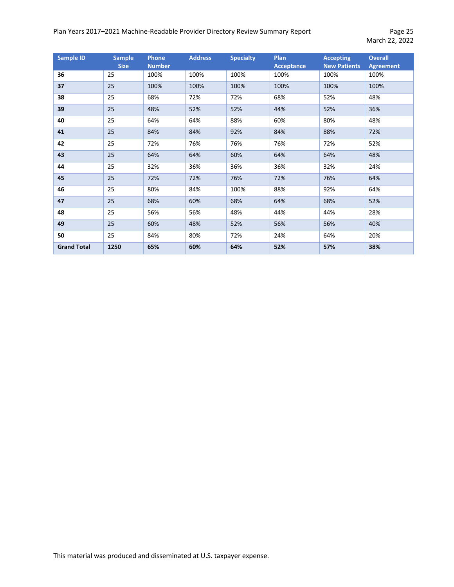# Plan Years 2017-2021 Machine-Readable Provider Directory Review Summary Report Page 25

| <b>Sample ID</b>   | <b>Sample</b><br><b>Size</b> | <b>Phone</b><br><b>Number</b> | <b>Address</b> | <b>Specialty</b> | Plan<br><b>Acceptance</b> | <b>Accepting</b><br><b>New Patients</b> | <b>Overall</b><br><b>Agreement</b> |
|--------------------|------------------------------|-------------------------------|----------------|------------------|---------------------------|-----------------------------------------|------------------------------------|
| 36                 | 25                           | 100%                          | 100%           | 100%             | 100%                      | 100%                                    | 100%                               |
| 37                 | 25                           | 100%                          | 100%           | 100%             | 100%                      | 100%                                    | 100%                               |
| 38                 | 25                           | 68%                           | 72%            | 72%              | 68%                       | 52%                                     | 48%                                |
| 39                 | 25                           | 48%                           | 52%            | 52%              | 44%                       | 52%                                     | 36%                                |
| 40                 | 25                           | 64%                           | 64%            | 88%              | 60%                       | 80%                                     | 48%                                |
| 41                 | 25                           | 84%                           | 84%            | 92%              | 84%                       | 88%                                     | 72%                                |
| 42                 | 25                           | 72%                           | 76%            | 76%              | 76%                       | 72%                                     | 52%                                |
| 43                 | 25                           | 64%                           | 64%            | 60%              | 64%                       | 64%                                     | 48%                                |
| 44                 | 25                           | 32%                           | 36%            | 36%              | 36%                       | 32%                                     | 24%                                |
| 45                 | 25                           | 72%                           | 72%            | 76%              | 72%                       | 76%                                     | 64%                                |
| 46                 | 25                           | 80%                           | 84%            | 100%             | 88%                       | 92%                                     | 64%                                |
| 47                 | 25                           | 68%                           | 60%            | 68%              | 64%                       | 68%                                     | 52%                                |
| 48                 | 25                           | 56%                           | 56%            | 48%              | 44%                       | 44%                                     | 28%                                |
| 49                 | 25                           | 60%                           | 48%            | 52%              | 56%                       | 56%                                     | 40%                                |
| 50                 | 25                           | 84%                           | 80%            | 72%              | 24%                       | 64%                                     | 20%                                |
| <b>Grand Total</b> | 1250                         | 65%                           | 60%            | 64%              | 52%                       | 57%                                     | 38%                                |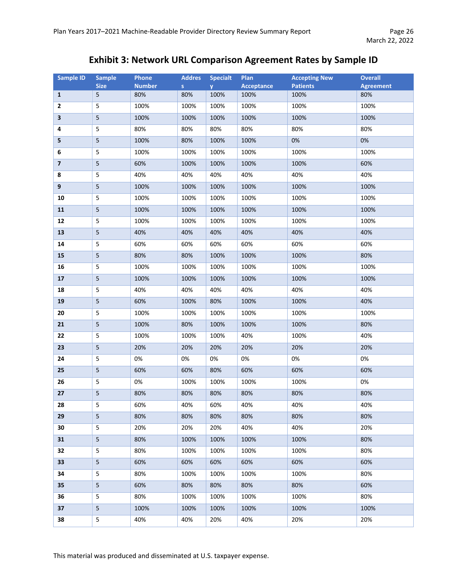# **Exhibit 3: Network URL Comparison Agreement Rates by Sample ID**

| <b>Sample ID</b>        | <b>Sample</b>           | Phone         | <b>Addres</b> | <b>Specialt</b> | Plan              | <b>Accepting New</b> | <b>Overall</b>   |
|-------------------------|-------------------------|---------------|---------------|-----------------|-------------------|----------------------|------------------|
|                         | <b>Size</b>             | <b>Number</b> | S             | y.              | <b>Acceptance</b> | <b>Patients</b>      | <b>Agreement</b> |
| $\mathbf{1}$            | 5                       | 80%           | 80%           | 100%            | 100%              | 100%                 | 80%              |
| 2                       | 5                       | 100%          | 100%          | 100%            | 100%              | 100%                 | 100%             |
| $\overline{\mathbf{3}}$ | 5                       | 100%          | 100%          | 100%            | 100%              | 100%                 | 100%             |
| 4                       | 5                       | 80%           | 80%           | 80%             | 80%               | 80%                  | 80%              |
| 5                       | 5                       | 100%          | 80%           | 100%            | 100%              | 0%                   | 0%               |
| 6                       | 5                       | 100%          | 100%          | 100%            | 100%              | 100%                 | 100%             |
| $\overline{\mathbf{z}}$ | 5                       | 60%           | 100%          | 100%            | 100%              | 100%                 | 60%              |
| 8                       | 5                       | 40%           | 40%           | 40%             | 40%               | 40%                  | 40%              |
| 9                       | 5                       | 100%          | 100%          | 100%            | 100%              | 100%                 | 100%             |
| 10                      | 5                       | 100%          | 100%          | 100%            | 100%              | 100%                 | 100%             |
| 11                      | 5                       | 100%          | 100%          | 100%            | 100%              | 100%                 | 100%             |
| 12                      | 5                       | 100%          | 100%          | 100%            | 100%              | 100%                 | 100%             |
| 13                      | 5                       | 40%           | 40%           | 40%             | 40%               | 40%                  | 40%              |
| 14                      | 5                       | 60%           | 60%           | 60%             | 60%               | 60%                  | 60%              |
| 15                      | 5                       | 80%           | 80%           | 100%            | 100%              | 100%                 | 80%              |
| 16                      | 5                       | 100%          | 100%          | 100%            | 100%              | 100%                 | 100%             |
| 17                      | 5                       | 100%          | 100%          | 100%            | 100%              | 100%                 | 100%             |
| 18                      | 5                       | 40%           | 40%           | 40%             | 40%               | 40%                  | 40%              |
| 19                      | 5                       | 60%           | 100%          | 80%             | 100%              | 100%                 | 40%              |
| 20                      | 5                       | 100%          | 100%          | 100%            | 100%              | 100%                 | 100%             |
| 21                      | 5                       | 100%          | 80%           | 100%            | 100%              | 100%                 | 80%              |
| 22                      | 5                       | 100%          | 100%          | 100%            | 40%               | 100%                 | 40%              |
| 23                      | 5                       | 20%           | 20%           | 20%             | 20%               | 20%                  | 20%              |
| 24                      | 5                       | 0%            | 0%            | 0%              | 0%                | 0%                   | 0%               |
| 25                      | 5                       | 60%           | 60%           | 80%             | 60%               | 60%                  | 60%              |
| 26                      | 5                       | 0%            | 100%          | 100%            | 100%              | 100%                 | 0%               |
| 27                      | $\overline{\mathbf{5}}$ | 80%           | 80%           | 80%             | 80%               | 80%                  | 80%              |
| 28                      | 5                       | 60%           | 40%           | 60%             | 40%               | 40%                  | 40%              |
| 29                      | 5                       | 80%           | 80%           | 80%             | 80%               | 80%                  | 80%              |
| 30                      | 5                       | 20%           | 20%           | 20%             | 40%               | 40%                  | 20%              |
| 31                      | 5                       | 80%           | 100%          | 100%            | 100%              | 100%                 | 80%              |
| 32                      | 5                       | 80%           | 100%          | 100%            | 100%              | 100%                 | 80%              |
| 33                      | 5                       | 60%           | 60%           | 60%             | 60%               | 60%                  | 60%              |
| 34                      | 5                       | 80%           | 100%          | 100%            | 100%              | 100%                 | 80%              |
| 35                      | 5                       | 60%           | 80%           | 80%             | 80%               | 80%                  | 60%              |
| 36                      | 5                       | 80%           | 100%          | 100%            | 100%              | 100%                 | 80%              |
| 37                      | 5                       | 100%          | 100%          | 100%            | 100%              | 100%                 | 100%             |
| 38                      | 5                       | 40%           | 40%           | 20%             | 40%               | 20%                  | 20%              |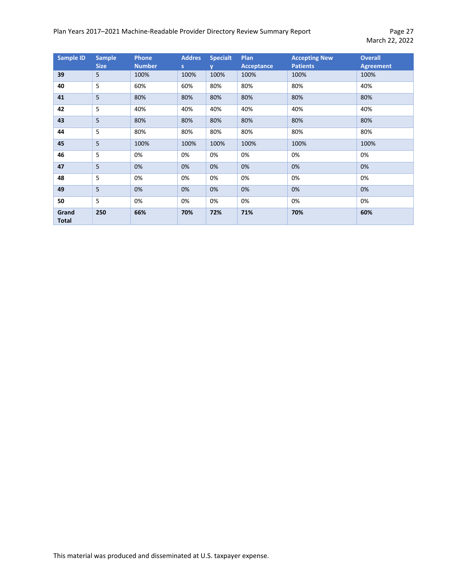# Plan Years 2017-2021 Machine-Readable Provider Directory Review Summary Report Page 27

| <b>Sample ID</b>      | <b>Sample</b><br><b>Size</b> | <b>Phone</b><br><b>Number</b> | <b>Addres</b><br>S | <b>Specialt</b><br>V | Plan<br><b>Acceptance</b> | <b>Accepting New</b><br><b>Patients</b> | <b>Overall</b><br><b>Agreement</b> |
|-----------------------|------------------------------|-------------------------------|--------------------|----------------------|---------------------------|-----------------------------------------|------------------------------------|
| 39                    | 5                            | 100%                          | 100%               | 100%                 | 100%                      | 100%                                    | 100%                               |
| 40                    | 5                            | 60%                           | 60%                | 80%                  | 80%                       | 80%                                     | 40%                                |
| 41                    | 5                            | 80%                           | 80%                | 80%                  | 80%                       | 80%                                     | 80%                                |
| 42                    | 5                            | 40%                           | 40%                | 40%                  | 40%                       | 40%                                     | 40%                                |
| 43                    | 5                            | 80%                           | 80%                | 80%                  | 80%                       | 80%                                     | 80%                                |
| 44                    | 5                            | 80%                           | 80%                | 80%                  | 80%                       | 80%                                     | 80%                                |
| 45                    | 5                            | 100%                          | 100%               | 100%                 | 100%                      | 100%                                    | 100%                               |
| 46                    | 5                            | 0%                            | 0%                 | 0%                   | 0%                        | 0%                                      | 0%                                 |
| 47                    | 5                            | 0%                            | 0%                 | 0%                   | 0%                        | 0%                                      | 0%                                 |
| 48                    | 5                            | 0%                            | 0%                 | 0%                   | 0%                        | 0%                                      | 0%                                 |
| 49                    | 5                            | 0%                            | 0%                 | 0%                   | 0%                        | 0%                                      | 0%                                 |
| 50                    | 5                            | 0%                            | 0%                 | 0%                   | 0%                        | 0%                                      | 0%                                 |
| Grand<br><b>Total</b> | 250                          | 66%                           | 70%                | 72%                  | 71%                       | 70%                                     | 60%                                |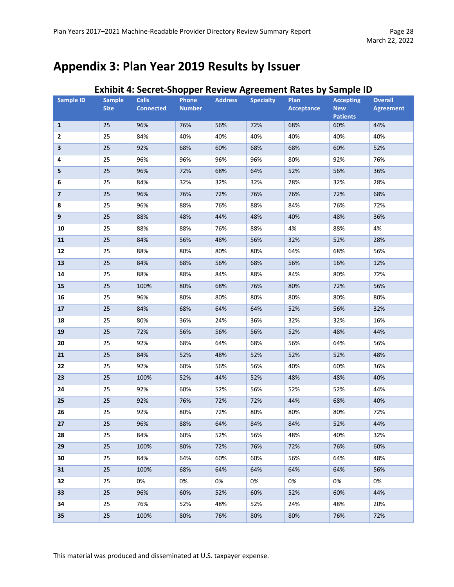# <span id="page-27-0"></span>**Appendix 3: Plan Year 2019 Results by Issuer**

|                         |                              |                                  |                        |                |                  | Exilibit 4. Secret-Shopper Review Agreement Rates by Sample iD |                                |                                    |
|-------------------------|------------------------------|----------------------------------|------------------------|----------------|------------------|----------------------------------------------------------------|--------------------------------|------------------------------------|
| <b>Sample ID</b>        | <b>Sample</b><br><b>Size</b> | <b>Calls</b><br><b>Connected</b> | Phone<br><b>Number</b> | <b>Address</b> | <b>Specialty</b> | <b>Plan</b><br>Acceptance                                      | <b>Accepting</b><br><b>New</b> | <b>Overall</b><br><b>Agreement</b> |
|                         |                              |                                  |                        |                |                  |                                                                | <b>Patients</b>                |                                    |
| $\mathbf{1}$            | 25                           | 96%                              | 76%                    | 56%            | 72%              | 68%                                                            | 60%                            | 44%                                |
| 2                       | 25                           | 84%                              | 40%                    | 40%            | 40%              | 40%                                                            | 40%                            | 40%                                |
| $\overline{\mathbf{3}}$ | 25                           | 92%                              | 68%                    | 60%            | 68%              | 68%                                                            | 60%                            | 52%                                |
| 4                       | 25                           | 96%                              | 96%                    | 96%            | 96%              | 80%                                                            | 92%                            | 76%                                |
| 5                       | 25                           | 96%                              | 72%                    | 68%            | 64%              | 52%                                                            | 56%                            | 36%                                |
| 6                       | 25                           | 84%                              | 32%                    | 32%            | 32%              | 28%                                                            | 32%                            | 28%                                |
| $\overline{\mathbf{z}}$ | 25                           | 96%                              | 76%                    | 72%            | 76%              | 76%                                                            | 72%                            | 68%                                |
| 8                       | 25                           | 96%                              | 88%                    | 76%            | 88%              | 84%                                                            | 76%                            | 72%                                |
| $\boldsymbol{9}$        | 25                           | 88%                              | 48%                    | 44%            | 48%              | 40%                                                            | 48%                            | 36%                                |
| 10                      | 25                           | 88%                              | 88%                    | 76%            | 88%              | 4%                                                             | 88%                            | 4%                                 |
| 11                      | 25                           | 84%                              | 56%                    | 48%            | 56%              | 32%                                                            | 52%                            | 28%                                |
| 12                      | 25                           | 88%                              | 80%                    | 80%            | 80%              | 64%                                                            | 68%                            | 56%                                |
| 13                      | 25                           | 84%                              | 68%                    | 56%            | 68%              | 56%                                                            | 16%                            | 12%                                |
| 14                      | 25                           | 88%                              | 88%                    | 84%            | 88%              | 84%                                                            | 80%                            | 72%                                |
| 15                      | 25                           | 100%                             | 80%                    | 68%            | 76%              | 80%                                                            | 72%                            | 56%                                |
| 16                      | 25                           | 96%                              | 80%                    | 80%            | 80%              | 80%                                                            | 80%                            | 80%                                |
| 17                      | 25                           | 84%                              | 68%                    | 64%            | 64%              | 52%                                                            | 56%                            | 32%                                |
| 18                      | 25                           | 80%                              | 36%                    | 24%            | 36%              | 32%                                                            | 32%                            | 16%                                |
| 19                      | 25                           | 72%                              | 56%                    | 56%            | 56%              | 52%                                                            | 48%                            | 44%                                |
| 20                      | 25                           | 92%                              | 68%                    | 64%            | 68%              | 56%                                                            | 64%                            | 56%                                |
| 21                      | 25                           | 84%                              | 52%                    | 48%            | 52%              | 52%                                                            | 52%                            | 48%                                |
| 22                      | 25                           | 92%                              | 60%                    | 56%            | 56%              | 40%                                                            | 60%                            | 36%                                |
| 23                      | 25                           | 100%                             | 52%                    | 44%            | 52%              | 48%                                                            | 48%                            | 40%                                |
| 24                      | 25                           | 92%                              | 60%                    | 52%            | 56%              | 52%                                                            | 52%                            | 44%                                |
| 25                      | 25                           | 92%                              | 76%                    | 72%            | 72%              | 44%                                                            | 68%                            | 40%                                |
| 26                      | 25                           | 92%                              | 80%                    | 72%            | 80%              | 80%                                                            | 80%                            | 72%                                |
| 27                      | 25                           | 96%                              | 88%                    | 64%            | 84%              | 84%                                                            | 52%                            | 44%                                |
| 28                      | 25                           | 84%                              | 60%                    | 52%            | 56%              | 48%                                                            | 40%                            | 32%                                |
| 29                      | 25                           | 100%                             | 80%                    | 72%            | 76%              | 72%                                                            | 76%                            | 60%                                |
| 30                      | 25                           | 84%                              | 64%                    | 60%            | 60%              | 56%                                                            | 64%                            | 48%                                |
| 31                      | 25                           | 100%                             | 68%                    | 64%            | 64%              | 64%                                                            | 64%                            | 56%                                |
| 32                      | 25                           | 0%                               | 0%                     | 0%             | 0%               | 0%                                                             | 0%                             | 0%                                 |
| 33                      | 25                           | 96%                              | 60%                    | 52%            | 60%              | 52%                                                            | 60%                            | 44%                                |
| 34                      | 25                           | 76%                              | 52%                    | 48%            | 52%              | 24%                                                            | 48%                            | 20%                                |
| 35                      | 25                           | 100%                             | 80%                    | 76%            | 80%              | 80%                                                            | 76%                            | 72%                                |

# **Exhibit 4: Secret-Shopper Review Agreement Rates by Sample ID**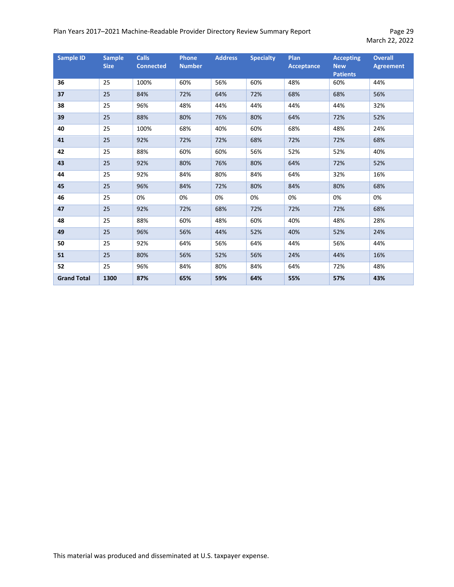#### Plan Years 2017-2021 Machine-Readable Provider Directory Review Summary Report Page 29

| <b>Sample ID</b>   | <b>Sample</b><br><b>Size</b> | <b>Calls</b><br><b>Connected</b> | <b>Phone</b><br><b>Number</b> | <b>Address</b> | <b>Specialty</b> | Plan<br><b>Acceptance</b> | <b>Accepting</b><br><b>New</b><br><b>Patients</b> | <b>Overall</b><br><b>Agreement</b> |
|--------------------|------------------------------|----------------------------------|-------------------------------|----------------|------------------|---------------------------|---------------------------------------------------|------------------------------------|
| 36                 | 25                           | 100%                             | 60%                           | 56%            | 60%              | 48%                       | 60%                                               | 44%                                |
| 37                 | 25                           | 84%                              | 72%                           | 64%            | 72%              | 68%                       | 68%                                               | 56%                                |
| 38                 | 25                           | 96%                              | 48%                           | 44%            | 44%              | 44%                       | 44%                                               | 32%                                |
| 39                 | 25                           | 88%                              | 80%                           | 76%            | 80%              | 64%                       | 72%                                               | 52%                                |
| 40                 | 25                           | 100%                             | 68%                           | 40%            | 60%              | 68%                       | 48%                                               | 24%                                |
| 41                 | 25                           | 92%                              | 72%                           | 72%            | 68%              | 72%                       | 72%                                               | 68%                                |
| 42                 | 25                           | 88%                              | 60%                           | 60%            | 56%              | 52%                       | 52%                                               | 40%                                |
| 43                 | 25                           | 92%                              | 80%                           | 76%            | 80%              | 64%                       | 72%                                               | 52%                                |
| 44                 | 25                           | 92%                              | 84%                           | 80%            | 84%              | 64%                       | 32%                                               | 16%                                |
| 45                 | 25                           | 96%                              | 84%                           | 72%            | 80%              | 84%                       | 80%                                               | 68%                                |
| 46                 | 25                           | 0%                               | 0%                            | 0%             | 0%               | 0%                        | 0%                                                | 0%                                 |
| 47                 | 25                           | 92%                              | 72%                           | 68%            | 72%              | 72%                       | 72%                                               | 68%                                |
| 48                 | 25                           | 88%                              | 60%                           | 48%            | 60%              | 40%                       | 48%                                               | 28%                                |
| 49                 | 25                           | 96%                              | 56%                           | 44%            | 52%              | 40%                       | 52%                                               | 24%                                |
| 50                 | 25                           | 92%                              | 64%                           | 56%            | 64%              | 44%                       | 56%                                               | 44%                                |
| 51                 | 25                           | 80%                              | 56%                           | 52%            | 56%              | 24%                       | 44%                                               | 16%                                |
| 52                 | 25                           | 96%                              | 84%                           | 80%            | 84%              | 64%                       | 72%                                               | 48%                                |
| <b>Grand Total</b> | 1300                         | 87%                              | 65%                           | 59%            | 64%              | 55%                       | 57%                                               | 43%                                |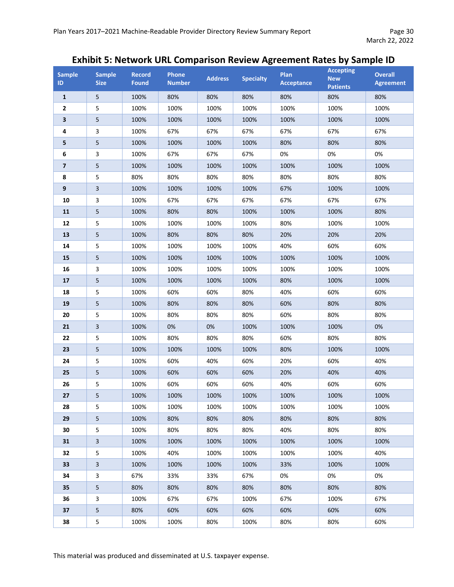# **Exhibit 5: Network URL Comparison Review Agreement Rates by Sample ID**

| <b>Sample</b><br>ID. | <b>Sample</b><br><b>Size</b> | <b>Record</b><br><b>Found</b> | Phone<br><b>Number</b> | <b>Address</b> | <b>Specialty</b> | Plan<br><b>Acceptance</b> | <b>Accepting</b><br><b>New</b><br><b>Patients</b> | <b>Overall</b><br><b>Agreement</b> |
|----------------------|------------------------------|-------------------------------|------------------------|----------------|------------------|---------------------------|---------------------------------------------------|------------------------------------|
| $\mathbf{1}$         | 5                            | 100%                          | 80%                    | 80%            | 80%              | 80%                       | 80%                                               | 80%                                |
| $\overline{2}$       | 5                            | 100%                          | 100%                   | 100%           | 100%             | 100%                      | 100%                                              | 100%                               |
| 3                    | 5                            | 100%                          | 100%                   | 100%           | 100%             | 100%                      | 100%                                              | 100%                               |
| 4                    | 3                            | 100%                          | 67%                    | 67%            | 67%              | 67%                       | 67%                                               | 67%                                |
| 5                    | 5                            | 100%                          | 100%                   | 100%           | 100%             | 80%                       | 80%                                               | 80%                                |
| 6                    | 3                            | 100%                          | 67%                    | 67%            | 67%              | 0%                        | 0%                                                | 0%                                 |
| $\overline{7}$       | 5                            | 100%                          | 100%                   | 100%           | 100%             | 100%                      | 100%                                              | 100%                               |
| 8                    | 5                            | 80%                           | 80%                    | 80%            | 80%              | 80%                       | 80%                                               | 80%                                |
| 9                    | 3                            | 100%                          | 100%                   | 100%           | 100%             | 67%                       | 100%                                              | 100%                               |
| 10                   | 3                            | 100%                          | 67%                    | 67%            | 67%              | 67%                       | 67%                                               | 67%                                |
| 11                   | 5                            | 100%                          | 80%                    | 80%            | 100%             | 100%                      | 100%                                              | 80%                                |
| 12                   | 5                            | 100%                          | 100%                   | 100%           | 100%             | 80%                       | 100%                                              | 100%                               |
| 13                   | 5                            | 100%                          | 80%                    | 80%            | 80%              | 20%                       | 20%                                               | 20%                                |
| 14                   | 5                            | 100%                          | 100%                   | 100%           | 100%             | 40%                       | 60%                                               | 60%                                |
| 15                   | 5                            | 100%                          | 100%                   | 100%           | 100%             | 100%                      | 100%                                              | 100%                               |
| 16                   | 3                            | 100%                          | 100%                   | 100%           | 100%             | 100%                      | 100%                                              | 100%                               |
| 17                   | 5                            | 100%                          | 100%                   | 100%           | 100%             | 80%                       | 100%                                              | 100%                               |
| 18                   | 5                            | 100%                          | 60%                    | 60%            | 80%              | 40%                       | 60%                                               | 60%                                |
| 19                   | 5                            | 100%                          | 80%                    | 80%            | 80%              | 60%                       | 80%                                               | 80%                                |
| 20                   | 5                            | 100%                          | 80%                    | 80%            | 80%              | 60%                       | 80%                                               | 80%                                |
| 21                   | 3                            | 100%                          | 0%                     | 0%             | 100%             | 100%                      | 100%                                              | 0%                                 |
| 22                   | 5                            | 100%                          | 80%                    | 80%            | 80%              | 60%                       | 80%                                               | 80%                                |
| 23                   | 5                            | 100%                          | 100%                   | 100%           | 100%             | 80%                       | 100%                                              | 100%                               |
| 24                   | 5                            | 100%                          | 60%                    | 40%            | 60%              | 20%                       | 60%                                               | 40%                                |
| 25                   | 5                            | 100%                          | 60%                    | 60%            | 60%              | 20%                       | 40%                                               | 40%                                |
| 26                   | 5                            | 100%                          | 60%                    | 60%            | 60%              | 40%                       | 60%                                               | 60%                                |
| 27                   | 5                            | 100%                          | 100%                   | 100%           | 100%             | 100%                      | 100%                                              | 100%                               |
| 28                   | 5                            | 100%                          | 100%                   | 100%           | 100%             | 100%                      | 100%                                              | 100%                               |
| 29                   | 5                            | 100%                          | 80%                    | 80%            | 80%              | 80%                       | 80%                                               | 80%                                |
| 30                   | 5                            | 100%                          | 80%                    | 80%            | 80%              | 40%                       | 80%                                               | 80%                                |
| 31                   | 3                            | 100%                          | 100%                   | 100%           | 100%             | 100%                      | 100%                                              | 100%                               |
| 32                   | 5                            | 100%                          | 40%                    | 100%           | 100%             | 100%                      | 100%                                              | 40%                                |
| 33                   | 3                            | 100%                          | 100%                   | 100%           | 100%             | 33%                       | 100%                                              | 100%                               |
| 34                   | 3                            | 67%                           | 33%                    | 33%            | 67%              | 0%                        | 0%                                                | 0%                                 |
| 35                   | 5                            | 80%                           | 80%                    | 80%            | 80%              | 80%                       | 80%                                               | 80%                                |
| 36                   | 3                            | 100%                          | 67%                    | 67%            | 100%             | 67%                       | 100%                                              | 67%                                |
| 37                   | 5                            | 80%                           | 60%                    | 60%            | 60%              | 60%                       | 60%                                               | 60%                                |
| 38                   | 5                            | 100%                          | 100%                   | 80%            | 100%             | 80%                       | 80%                                               | 60%                                |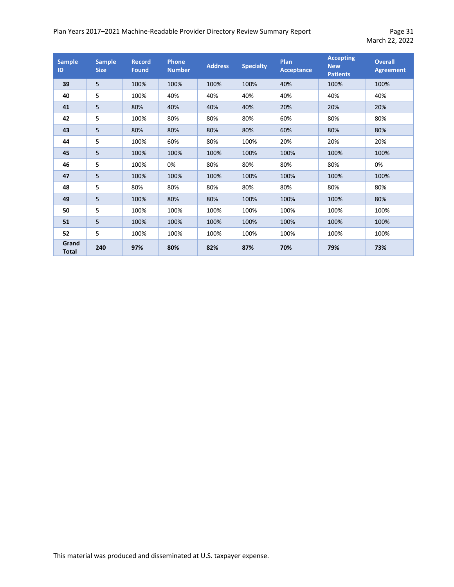#### Plan Years 2017-2021 Machine-Readable Provider Directory Review Summary Report Page 31

| <b>Sample</b><br>ID   | <b>Sample</b><br><b>Size</b> | <b>Record</b><br><b>Found</b> | Phone<br><b>Number</b> | <b>Address</b> | <b>Specialty</b> | Plan<br><b>Acceptance</b> | <b>Accepting</b><br><b>New</b><br><b>Patients</b> | <b>Overall</b><br><b>Agreement</b> |
|-----------------------|------------------------------|-------------------------------|------------------------|----------------|------------------|---------------------------|---------------------------------------------------|------------------------------------|
| 39                    | 5                            | 100%                          | 100%                   | 100%           | 100%             | 40%                       | 100%                                              | 100%                               |
| 40                    | 5                            | 100%                          | 40%                    | 40%            | 40%              | 40%                       | 40%                                               | 40%                                |
| 41                    | 5                            | 80%                           | 40%                    | 40%            | 40%              | 20%                       | 20%                                               | 20%                                |
| 42                    | 5                            | 100%                          | 80%                    | 80%            | 80%              | 60%                       | 80%                                               | 80%                                |
| 43                    | 5                            | 80%                           | 80%                    | 80%            | 80%              | 60%                       | 80%                                               | 80%                                |
| 44                    | 5                            | 100%                          | 60%                    | 80%            | 100%             | 20%                       | 20%                                               | 20%                                |
| 45                    | 5                            | 100%                          | 100%                   | 100%           | 100%             | 100%                      | 100%                                              | 100%                               |
| 46                    | 5                            | 100%                          | 0%                     | 80%            | 80%              | 80%                       | 80%                                               | 0%                                 |
| 47                    | 5                            | 100%                          | 100%                   | 100%           | 100%             | 100%                      | 100%                                              | 100%                               |
| 48                    | 5                            | 80%                           | 80%                    | 80%            | 80%              | 80%                       | 80%                                               | 80%                                |
| 49                    | 5                            | 100%                          | 80%                    | 80%            | 100%             | 100%                      | 100%                                              | 80%                                |
| 50                    | 5                            | 100%                          | 100%                   | 100%           | 100%             | 100%                      | 100%                                              | 100%                               |
| 51                    | 5                            | 100%                          | 100%                   | 100%           | 100%             | 100%                      | 100%                                              | 100%                               |
| 52                    | 5                            | 100%                          | 100%                   | 100%           | 100%             | 100%                      | 100%                                              | 100%                               |
| Grand<br><b>Total</b> | 240                          | 97%                           | 80%                    | 82%            | 87%              | 70%                       | 79%                                               | 73%                                |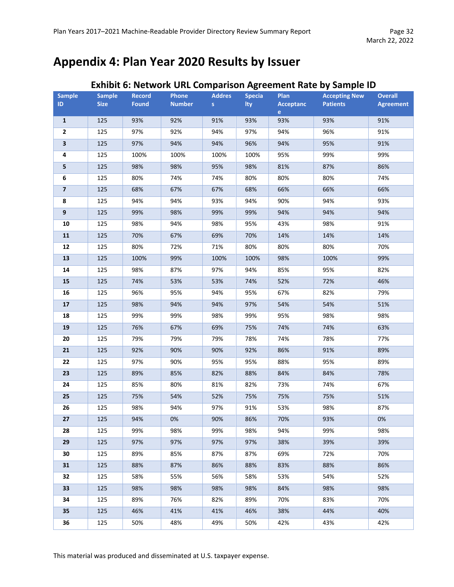# <span id="page-31-0"></span>**Appendix 4: Plan Year 2020 Results by Issuer**

|                         |                              |                               |                        | <b>Addres</b> |                      |                          |                                         |                                    |
|-------------------------|------------------------------|-------------------------------|------------------------|---------------|----------------------|--------------------------|-----------------------------------------|------------------------------------|
| <b>Sample</b><br>ID.    | <b>Sample</b><br><b>Size</b> | <b>Record</b><br><b>Found</b> | Phone<br><b>Number</b> | S             | <b>Specia</b><br>Ity | <b>Plan</b><br>Acceptanc | <b>Accepting New</b><br><b>Patients</b> | <b>Overall</b><br><b>Agreement</b> |
|                         |                              |                               |                        |               |                      | $e^-$                    |                                         |                                    |
| $\mathbf{1}$            | 125                          | 93%                           | 92%                    | 91%           | 93%                  | 93%                      | 93%                                     | 91%                                |
| $\overline{2}$          | 125                          | 97%                           | 92%                    | 94%           | 97%                  | 94%                      | 96%                                     | 91%                                |
| $\overline{\mathbf{3}}$ | 125                          | 97%                           | 94%                    | 94%           | 96%                  | 94%                      | 95%                                     | 91%                                |
| 4                       | 125                          | 100%                          | 100%                   | 100%          | 100%                 | 95%                      | 99%                                     | 99%                                |
| 5                       | 125                          | 98%                           | 98%                    | 95%           | 98%                  | 81%                      | 87%                                     | 86%                                |
| 6                       | 125                          | 80%                           | 74%                    | 74%           | 80%                  | 80%                      | 80%                                     | 74%                                |
| $\overline{\mathbf{z}}$ | 125                          | 68%                           | 67%                    | 67%           | 68%                  | 66%                      | 66%                                     | 66%                                |
| 8                       | 125                          | 94%                           | 94%                    | 93%           | 94%                  | 90%                      | 94%                                     | 93%                                |
| $\boldsymbol{9}$        | 125                          | 99%                           | 98%                    | 99%           | 99%                  | 94%                      | 94%                                     | 94%                                |
| 10                      | 125                          | 98%                           | 94%                    | 98%           | 95%                  | 43%                      | 98%                                     | 91%                                |
| ${\bf 11}$              | 125                          | 70%                           | 67%                    | 69%           | 70%                  | 14%                      | 14%                                     | 14%                                |
| 12                      | 125                          | 80%                           | 72%                    | 71%           | 80%                  | 80%                      | 80%                                     | 70%                                |
| 13                      | 125                          | 100%                          | 99%                    | 100%          | 100%                 | 98%                      | 100%                                    | 99%                                |
| ${\bf 14}$              | 125                          | 98%                           | 87%                    | 97%           | 94%                  | 85%                      | 95%                                     | 82%                                |
| 15                      | 125                          | 74%                           | 53%                    | 53%           | 74%                  | 52%                      | 72%                                     | 46%                                |
| 16                      | 125                          | 96%                           | 95%                    | 94%           | 95%                  | 67%                      | 82%                                     | 79%                                |
| 17                      | 125                          | 98%                           | 94%                    | 94%           | 97%                  | 54%                      | 54%                                     | 51%                                |
| 18                      | 125                          | 99%                           | 99%                    | 98%           | 99%                  | 95%                      | 98%                                     | 98%                                |
| 19                      | 125                          | 76%                           | 67%                    | 69%           | 75%                  | 74%                      | 74%                                     | 63%                                |
| 20                      | 125                          | 79%                           | 79%                    | 79%           | 78%                  | 74%                      | 78%                                     | 77%                                |
| 21                      | 125                          | 92%                           | 90%                    | 90%           | 92%                  | 86%                      | 91%                                     | 89%                                |
| 22                      | 125                          | 97%                           | 90%                    | 95%           | 95%                  | 88%                      | 95%                                     | 89%                                |
| 23                      | 125                          | 89%                           | 85%                    | 82%           | 88%                  | 84%                      | 84%                                     | 78%                                |
| 24                      | 125                          | 85%                           | 80%                    | 81%           | 82%                  | 73%                      | 74%                                     | 67%                                |
| 25                      | 125                          | 75%                           | 54%                    | 52%           | 75%                  | 75%                      | 75%                                     | 51%                                |
| 26                      | 125                          | 98%                           | 94%                    | 97%           | 91%                  | 53%                      | 98%                                     | 87%                                |
| 27                      | 125                          | 94%                           | 0%                     | 90%           | 86%                  | 70%                      | 93%                                     | 0%                                 |
| 28                      | 125                          | 99%                           | 98%                    | 99%           | 98%                  | 94%                      | 99%                                     | 98%                                |
| 29                      | 125                          | 97%                           | 97%                    | 97%           | 97%                  | 38%                      | 39%                                     | 39%                                |
| 30                      | 125                          | 89%                           | 85%                    | 87%           | 87%                  | 69%                      | 72%                                     | 70%                                |
| 31                      | 125                          | 88%                           | 87%                    | 86%           | 88%                  | 83%                      | 88%                                     | 86%                                |
| 32                      | 125                          | 58%                           | 55%                    | 56%           | 58%                  | 53%                      | 54%                                     | 52%                                |
| 33                      | 125                          | 98%                           | 98%                    | 98%           | 98%                  | 84%                      | 98%                                     | 98%                                |
| 34                      | 125                          | 89%                           | 76%                    | 82%           | 89%                  | 70%                      | 83%                                     | 70%                                |
| 35                      | 125                          | 46%                           | 41%                    | 41%           | 46%                  | 38%                      | 44%                                     | 40%                                |
| 36                      | 125                          | 50%                           | 48%                    | 49%           | 50%                  | 42%                      | 43%                                     | 42%                                |

# **Exhibit 6: Network URL Comparison Agreement Rate by Sample ID**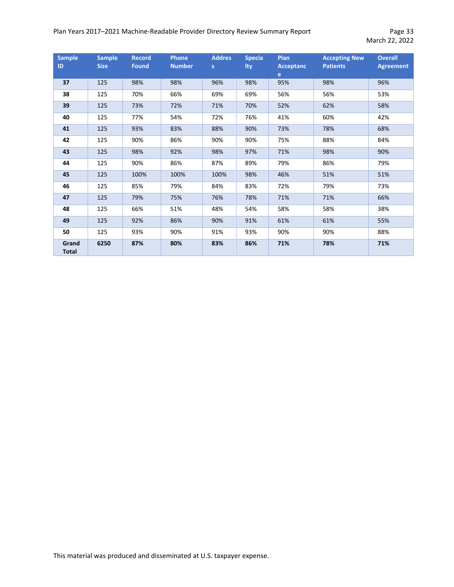#### Plan Years 2017-2021 Machine-Readable Provider Directory Review Summary Report Page 33

| <b>Sample</b><br>ID   | <b>Sample</b><br><b>Size</b> | <b>Record</b><br><b>Found</b> | <b>Phone</b><br><b>Number</b> | <b>Addres</b><br>S. | <b>Specia</b><br>Ity | <b>Plan</b><br><b>Acceptanc</b><br>$\mathbf{e}$ | <b>Accepting New</b><br><b>Patients</b> | <b>Overall</b><br><b>Agreement</b> |
|-----------------------|------------------------------|-------------------------------|-------------------------------|---------------------|----------------------|-------------------------------------------------|-----------------------------------------|------------------------------------|
| 37                    | 125                          | 98%                           | 98%                           | 96%                 | 98%                  | 95%                                             | 98%                                     | 96%                                |
| 38                    | 125                          | 70%                           | 66%                           | 69%                 | 69%                  | 56%                                             | 56%                                     | 53%                                |
| 39                    | 125                          | 73%                           | 72%                           | 71%                 | 70%                  | 52%                                             | 62%                                     | 58%                                |
| 40                    | 125                          | 77%                           | 54%                           | 72%                 | 76%                  | 41%                                             | 60%                                     | 42%                                |
| 41                    | 125                          | 93%                           | 83%                           | 88%                 | 90%                  | 73%                                             | 78%                                     | 68%                                |
| 42                    | 125                          | 90%                           | 86%                           | 90%                 | 90%                  | 75%                                             | 88%                                     | 84%                                |
| 43                    | 125                          | 98%                           | 92%                           | 98%                 | 97%                  | 71%                                             | 98%                                     | 90%                                |
| 44                    | 125                          | 90%                           | 86%                           | 87%                 | 89%                  | 79%                                             | 86%                                     | 79%                                |
| 45                    | 125                          | 100%                          | 100%                          | 100%                | 98%                  | 46%                                             | 51%                                     | 51%                                |
| 46                    | 125                          | 85%                           | 79%                           | 84%                 | 83%                  | 72%                                             | 79%                                     | 73%                                |
| 47                    | 125                          | 79%                           | 75%                           | 76%                 | 78%                  | 71%                                             | 71%                                     | 66%                                |
| 48                    | 125                          | 66%                           | 51%                           | 48%                 | 54%                  | 58%                                             | 58%                                     | 38%                                |
| 49                    | 125                          | 92%                           | 86%                           | 90%                 | 91%                  | 61%                                             | 61%                                     | 55%                                |
| 50                    | 125                          | 93%                           | 90%                           | 91%                 | 93%                  | 90%                                             | 90%                                     | 88%                                |
| Grand<br><b>Total</b> | 6250                         | 87%                           | 80%                           | 83%                 | 86%                  | 71%                                             | 78%                                     | 71%                                |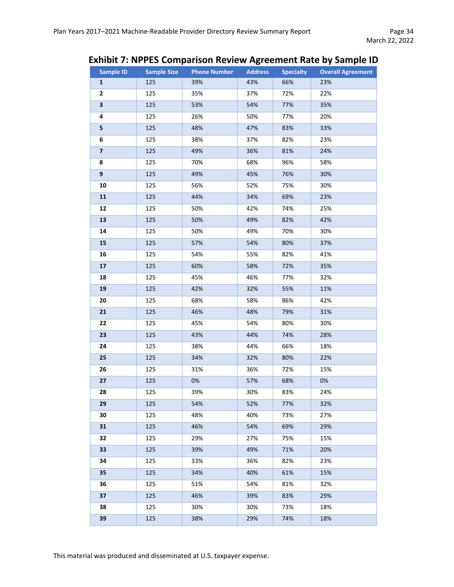# **Exhibit 7: NPPES Comparison Review Agreement Rate by Sample ID**

| <b>Sample ID</b>        | <b>Sample Size</b> | <b>Phone Number</b> | <b>Address</b> | <b>Specialty</b> | <b>Overall Agreement</b> |
|-------------------------|--------------------|---------------------|----------------|------------------|--------------------------|
| $\mathbf{1}$            | 125                | 39%                 | 43%            | 66%              | 23%                      |
| 2                       | 125                | 35%                 | 37%            | 72%              | 22%                      |
| 3                       | 125                | 53%                 | 54%            | 77%              | 35%                      |
| 4                       | 125                | 26%                 | 50%            | 77%              | 20%                      |
| 5                       | 125                | 48%                 | 47%            | 83%              | 33%                      |
| 6                       | 125                | 38%                 | 37%            | 82%              | 23%                      |
| $\overline{\mathbf{z}}$ | 125                | 49%                 | 36%            | 81%              | 24%                      |
| 8                       | 125                | 70%                 | 68%            | 96%              | 58%                      |
| $\boldsymbol{9}$        | 125                | 49%                 | 45%            | 76%              | 30%                      |
| 10                      | 125                | 56%                 | 52%            | 75%              | 30%                      |
| 11                      | 125                | 44%                 | 34%            | 69%              | 23%                      |
| 12                      | 125                | 50%                 | 42%            | 74%              | 25%                      |
| 13                      | 125                | 50%                 | 49%            | 82%              | 42%                      |
| 14                      | 125                | 50%                 | 49%            | 70%              | 30%                      |
| 15                      | 125                | 57%                 | 54%            | 80%              | 37%                      |
| 16                      | 125                | 54%                 | 55%            | 82%              | 41%                      |
| 17                      | 125                | 60%                 | 58%            | 72%              | 35%                      |
| 18                      | 125                | 45%                 | 46%            | 77%              | 32%                      |
| 19                      | 125                | 42%                 | 32%            | 55%              | 11%                      |
| 20                      | 125                | 68%                 | 58%            | 86%              | 42%                      |
| 21                      | 125                | 46%                 | 48%            | 79%              | 31%                      |
| 22                      | 125                | 45%                 | 54%            | 80%              | 30%                      |
| 23                      | 125                | 43%                 | 44%            | 74%              | 28%                      |
| 24                      | 125                | 38%                 | 44%            | 66%              | 18%                      |
| 25                      | 125                | 34%                 | 32%            | 80%              | 22%                      |
| 26                      | 125                | 31%                 | 36%            | 72%              | 15%                      |
| 27                      | 125                | 0%                  | 57%            | 68%              | 0%                       |
| 28                      | 125                | 39%                 | 30%            | 83%              | 24%                      |
| 29                      | 125                | 54%                 | 52%            | 77%              | 32%                      |
| 30                      | 125                | 48%                 | 40%            | 73%              | 27%                      |
| 31                      | 125                | 46%                 | 54%            | 69%              | 29%                      |
| 32                      | 125                | 29%                 | 27%            | 75%              | 15%                      |
| 33                      | 125                | 39%                 | 49%            | 71%              | 20%                      |
| 34                      | 125                | 33%                 | 36%            | 82%              | 23%                      |
| 35                      | 125                | 34%                 | 40%            | 61%              | 15%                      |
| 36                      | 125                | 51%                 | 54%            | 81%              | 32%                      |
| 37                      | 125                | 46%                 | 39%            | 83%              | 29%                      |
| 38                      | 125                | 30%                 | 30%            | 73%              | 18%                      |
| 39                      | 125                | 38%                 | 29%            | 74%              | 18%                      |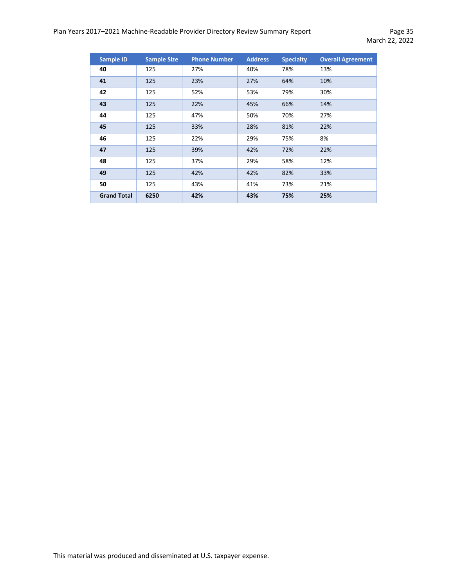| <b>Sample ID</b>   | <b>Sample Size</b> | <b>Phone Number</b> | <b>Address</b> | <b>Specialty</b> | <b>Overall Agreement</b> |
|--------------------|--------------------|---------------------|----------------|------------------|--------------------------|
| 40                 | 125                | 27%                 | 40%            | 78%              | 13%                      |
| 41                 | 125                | 23%                 | 27%            | 64%              | 10%                      |
| 42                 | 125                | 52%                 | 53%            | 79%              | 30%                      |
| 43                 | 125                | 22%                 | 45%            | 66%              | 14%                      |
| 44                 | 125                | 47%                 | 50%            | 70%              | 27%                      |
| 45                 | 125                | 33%                 | 28%            | 81%              | 22%                      |
| 46                 | 125                | 22%                 | 29%            | 75%              | 8%                       |
| 47                 | 125                | 39%                 | 42%            | 72%              | 22%                      |
| 48                 | 125                | 37%                 | 29%            | 58%              | 12%                      |
| 49                 | 125                | 42%                 | 42%            | 82%              | 33%                      |
| 50                 | 125                | 43%                 | 41%            | 73%              | 21%                      |
| <b>Grand Total</b> | 6250               | 42%                 | 43%            | 75%              | 25%                      |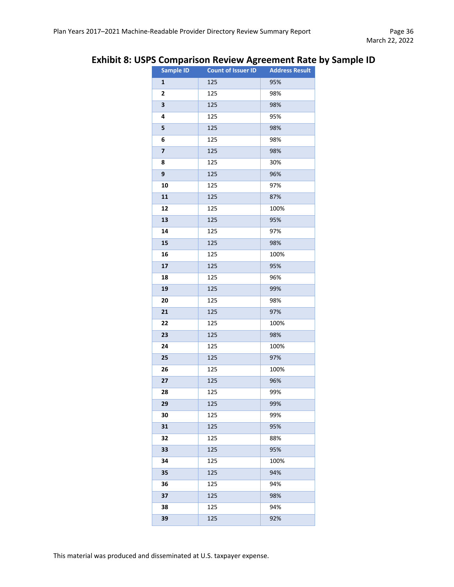# **Exhibit 8: USPS Comparison Review Agreement Rate by Sample ID**

| Sample ID               | ັ<br><b>Count of Issuer ID</b> | <b>Address Result</b> |
|-------------------------|--------------------------------|-----------------------|
| 1                       | 125                            | 95%                   |
| $\mathbf{2}$            | 125                            | 98%                   |
| 3                       | 125                            | 98%                   |
| 4                       | 125                            | 95%                   |
| 5                       | 125                            | 98%                   |
| 6                       | 125                            | 98%                   |
| $\overline{\mathbf{z}}$ | 125                            | 98%                   |
| 8                       | 125                            | 30%                   |
| 9                       | 125                            | 96%                   |
| 10                      | 125                            | 97%                   |
| 11                      | 125                            | 87%                   |
| 12                      | 125                            | 100%                  |
| 13                      | 125                            | 95%                   |
| 14                      | 125                            | 97%                   |
| 15                      | 125                            | 98%                   |
| 16                      | 125                            | 100%                  |
| 17                      | 125                            | 95%                   |
| 18                      | 125                            | 96%                   |
| 19                      | 125                            | 99%                   |
| 20                      | 125                            | 98%                   |
| 21                      | 125                            | 97%                   |
| 22                      | 125                            | 100%                  |
| 23                      | 125                            | 98%                   |
| 24                      | 125                            | 100%                  |
| 25                      | 125                            | 97%                   |
| 26                      | 125                            | 100%                  |
| 27                      | 125                            | 96%                   |
| 28                      | 125                            | 99%                   |
| 29                      | 125                            | 99%                   |
| 30                      | 125                            | 99%                   |
| 31                      | 125                            | 95%                   |
| 32                      | 125                            | 88%                   |
| 33                      | 125                            | 95%                   |
| 34                      | 125                            | 100%                  |
| 35                      | 125                            | 94%                   |
| 36                      | 125                            | 94%                   |
| 37                      | 125                            | 98%                   |
| 38                      | 125                            | 94%                   |
| 39                      | 125                            | 92%                   |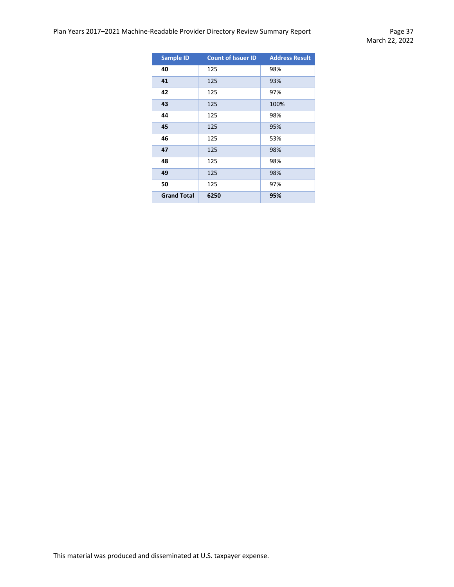| <b>Sample ID</b>   | <b>Count of Issuer ID</b> | <b>Address Result</b> |
|--------------------|---------------------------|-----------------------|
| 40                 | 125                       | 98%                   |
| 41                 | 125                       | 93%                   |
| 42                 | 125                       | 97%                   |
| 43                 | 125                       | 100%                  |
| 44                 | 125                       | 98%                   |
| 45                 | 125                       | 95%                   |
| 46                 | 125                       | 53%                   |
| 47                 | 125                       | 98%                   |
| 48                 | 125                       | 98%                   |
| 49                 | 125                       | 98%                   |
| 50                 | 125                       | 97%                   |
| <b>Grand Total</b> | 6250                      | 95%                   |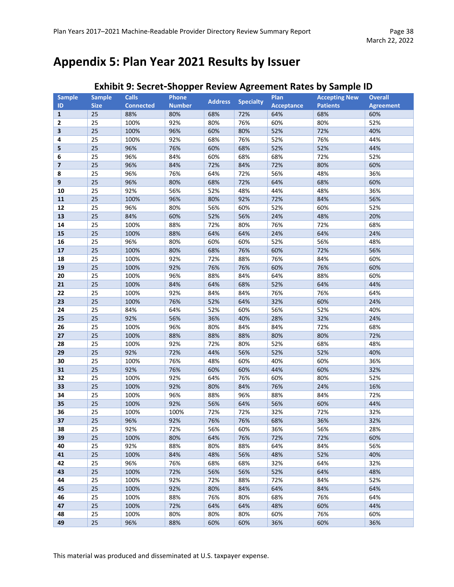# <span id="page-37-0"></span>**Appendix 5: Plan Year 2021 Results by Issuer**

| <b>Sample</b>           | <b>Sample</b> | <b>Calls</b>     | . .<br>Phone  |                |                  | Plan              | <b>Accepting New</b> | <b>Overall</b>   |
|-------------------------|---------------|------------------|---------------|----------------|------------------|-------------------|----------------------|------------------|
| ID                      | <b>Size</b>   | <b>Connected</b> | <b>Number</b> | <b>Address</b> | <b>Specialty</b> | <b>Acceptance</b> | <b>Patients</b>      | <b>Agreement</b> |
| $\mathbf{1}$            | 25            | 88%              | 80%           | 68%            | 72%              | 64%               | 68%                  | 60%              |
| 2                       | 25            | 100%             | 92%           | 80%            | 76%              | 60%               | 80%                  | 52%              |
| $\overline{\mathbf{3}}$ | 25            | 100%             | 96%           | 60%            | 80%              | 52%               | 72%                  | 40%              |
| 4                       | 25            | 100%             | 92%           | 68%            | 76%              | 52%               | 76%                  | 44%              |
| 5                       | 25            | 96%              | 76%           | 60%            | 68%              | 52%               | 52%                  | 44%              |
| 6                       | 25            | 96%              | 84%           | 60%            | 68%              | 68%               | 72%                  | 52%              |
| 7                       | 25            | 96%              | 84%           | 72%            | 84%              | 72%               | 80%                  | 60%              |
| 8                       | 25            | 96%              | 76%           | 64%            | 72%              | 56%               | 48%                  | 36%              |
| 9                       | 25            | 96%              | 80%           | 68%            | 72%              | 64%               | 68%                  | 60%              |
| 10                      | 25            | 92%              | 56%           | 52%            | 48%              | 44%               | 48%                  | 36%              |
| 11                      | 25            | 100%             | 96%           | 80%            | 92%              | 72%               | 84%                  | 56%              |
| 12                      | 25            | 96%              | 80%           | 56%            | 60%              | 52%               | 60%                  | 52%              |
| 13                      | 25            | 84%              | 60%           | 52%            | 56%              | 24%               | 48%                  | 20%              |
| 14                      | 25            | 100%             | 88%           | 72%            | 80%              | 76%               | 72%                  | 68%              |
| 15                      | 25            | 100%             | 88%           | 64%            | 64%              | 24%               | 64%                  | 24%              |
| 16                      | 25            | 96%              | 80%           | 60%            | 60%              | 52%               | 56%                  | 48%              |
| $17\,$                  | 25            | 100%             | 80%           | 68%            | 76%              | 60%               | 72%                  | 56%              |
| 18                      | 25            | 100%             | 92%           | 72%            | 88%              | 76%               | 84%                  | 60%              |
| 19                      | 25            | 100%             | 92%           | 76%            | 76%              | 60%               | 76%                  | 60%              |
| 20                      | 25            | 100%             | 96%           | 88%            | 84%              | 64%               | 88%                  | 60%              |
| 21                      | 25            | 100%             | 84%           | 64%            | 68%              | 52%               | 64%                  | 44%              |
| 22                      | 25            | 100%             | 92%           | 84%            | 84%              | 76%               | 76%                  | 64%              |
| 23                      | 25            | 100%             | 76%           | 52%            | 64%              | 32%               | 60%                  | 24%              |
| 24                      | 25            | 84%              | 64%           | 52%            | 60%              | 56%               | 52%                  | 40%              |
| 25                      | 25            | 92%              | 56%           | 36%            | 40%              | 28%               | 32%                  | 24%              |
| 26                      | 25            | 100%             | 96%           | 80%            | 84%              | 84%               | 72%                  | 68%              |
| 27                      | 25            | 100%             | 88%           | 88%            | 88%              | 80%               | 80%                  | 72%              |
| 28                      | 25            | 100%             | 92%           | 72%            | 80%              | 52%               | 68%                  | 48%              |
| 29                      | 25            | 92%              | 72%           | 44%            | 56%              | 52%               | 52%                  | 40%              |
| 30                      | 25            | 100%             | 76%           | 48%            | 60%              | 40%               | 60%                  | 36%              |
| 31                      | 25            | 92%              | 76%           | 60%            | 60%              | 44%               | 60%                  | 32%              |
| 32                      | 25            | 100%             | 92%           | 64%            | 76%              | 60%               | 80%                  | 52%              |
| 33                      | 25            | 100%             | 92%           | 80%            | 84%              | 76%               | 24%                  | 16%              |
| 34                      | 25            | 100%             | 96%           | 88%            | 96%              | 88%               | 84%                  | 72%              |
| 35                      | 25            | 100%             | 92%           | 56%            | 64%              | 56%               | 60%                  | 44%              |
| 36                      | 25            | 100%             | 100%          | 72%            | 72%              | 32%               | 72%                  | 32%              |
| 37                      | 25            | 96%              | 92%           | 76%            | 76%              | 68%               | 36%                  | 32%              |
| 38                      | 25            | 92%              | 72%           | 56%            | 60%              | 36%               | 56%                  | 28%              |
| 39                      | 25            | 100%             | 80%           | 64%            | 76%              | 72%               | 72%                  | 60%              |
| 40                      | 25            | 92%              | 88%           | 80%            | 88%              | 64%               | 84%                  | 56%              |
| 41                      | 25            | 100%             | 84%           | 48%            | 56%              | 48%               | 52%                  | 40%              |
| 42                      | 25            | 96%              | 76%           | 68%            | 68%              | 32%               | 64%                  | 32%              |
| 43                      | 25            | 100%             | 72%           | 56%            | 56%              | 52%               | 64%                  | 48%              |
| 44                      | 25            | 100%             | 92%           | 72%            | 88%              | 72%               | 84%                  | 52%              |
| 45                      | 25            | 100%             | 92%           | 80%            | 84%              | 64%               | 84%                  | 64%              |
| 46                      | 25            | 100%             | 88%           | 76%            | 80%              | 68%               | 76%                  | 64%              |
| 47                      | 25            | 100%             | 72%           | 64%            | 64%              | 48%               | 60%                  | 44%              |
| 48                      | 25            | 100%             | 80%           | 80%            | 80%              | 60%               | 76%                  | 60%              |
| 49                      | 25            | 96%              | 88%           | 60%            | 60%              | 36%               | 60%                  | 36%              |

# **Exhibit 9: Secret-Shopper Review Agreement Rates by Sample ID**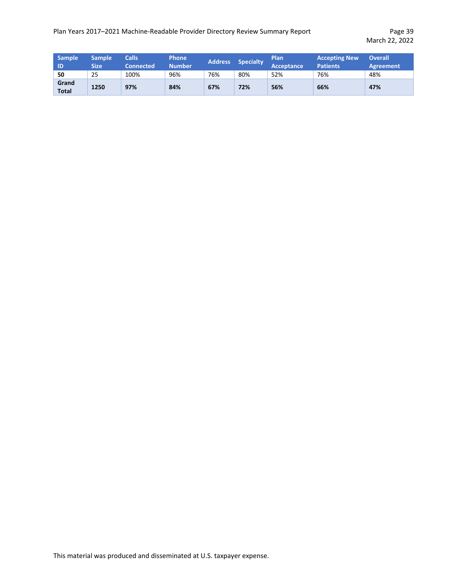| <b>Sample</b><br>ID   | <b>Sample</b><br>Size | <b>Calls</b><br><b>Connected</b> | <b>Phone</b><br><b>Number</b> | <b>Address</b> | <b>Specialty</b> | <b>Plan</b><br>Acceptance | <b>Accepting New</b><br><b>Patients</b> | <b>Overall</b><br><b>Agreement</b> |
|-----------------------|-----------------------|----------------------------------|-------------------------------|----------------|------------------|---------------------------|-----------------------------------------|------------------------------------|
| 50                    | 25                    | 100%                             | 96%                           | 76%            | 80%              | 52%                       | 76%                                     | 48%                                |
| Grand<br><b>Total</b> | 1250                  | 97%                              | 84%                           | 67%            | 72%              | 56%                       | 66%                                     | 47%                                |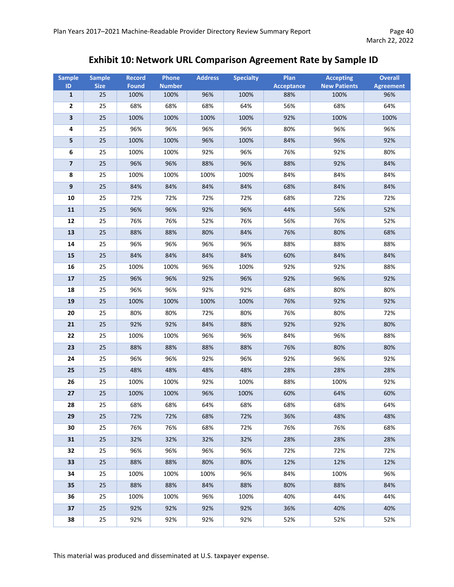# **Exhibit 10: Network URL Comparison Agreement Rate by Sample ID**

| <b>Sample</b>           | <b>Sample</b> | <b>Record</b> | Phone         | <b>Address</b> | <b>Specialty</b> | Plan              | <b>Accepting</b>    | <b>Overall</b>   |
|-------------------------|---------------|---------------|---------------|----------------|------------------|-------------------|---------------------|------------------|
| ID                      | <b>Size</b>   | <b>Found</b>  | <b>Number</b> |                |                  | <b>Acceptance</b> | <b>New Patients</b> | <b>Agreement</b> |
| $\mathbf 1$             | 25            | 100%          | 100%          | 96%            | 100%             | 88%               | 100%                | 96%              |
| $\mathbf{2}$            | 25            | 68%           | 68%           | 68%            | 64%              | 56%               | 68%                 | 64%              |
| $\mathbf 3$             | 25            | 100%          | 100%          | 100%           | 100%             | 92%               | 100%                | 100%             |
| 4                       | 25            | 96%           | 96%           | 96%            | 96%              | 80%               | 96%                 | 96%              |
| 5                       | 25            | 100%          | 100%          | 96%            | 100%             | 84%               | 96%                 | 92%              |
| 6                       | 25            | 100%          | 100%          | 92%            | 96%              | 76%               | 92%                 | 80%              |
| $\overline{\mathbf{z}}$ | 25            | 96%           | 96%           | 88%            | 96%              | 88%               | 92%                 | 84%              |
| 8                       | 25            | 100%          | 100%          | 100%           | 100%             | 84%               | 84%                 | 84%              |
| 9                       | 25            | 84%           | 84%           | 84%            | 84%              | 68%               | 84%                 | 84%              |
| 10                      | 25            | 72%           | 72%           | 72%            | 72%              | 68%               | 72%                 | 72%              |
| 11                      | 25            | 96%           | 96%           | 92%            | 96%              | 44%               | 56%                 | 52%              |
| 12                      | 25            | 76%           | 76%           | 52%            | 76%              | 56%               | 76%                 | 52%              |
| 13                      | 25            | 88%           | 88%           | 80%            | 84%              | 76%               | 80%                 | 68%              |
| 14                      | 25            | 96%           | 96%           | 96%            | 96%              | 88%               | 88%                 | 88%              |
| 15                      | 25            | 84%           | 84%           | 84%            | 84%              | 60%               | 84%                 | 84%              |
| 16                      | 25            | 100%          | 100%          | 96%            | 100%             | 92%               | 92%                 | 88%              |
| 17                      | 25            | 96%           | 96%           | 92%            | 96%              | 92%               | 96%                 | 92%              |
| 18                      | 25            | 96%           | 96%           | 92%            | 92%              | 68%               | 80%                 | 80%              |
| 19                      | 25            | 100%          | 100%          | 100%           | 100%             | 76%               | 92%                 | 92%              |
| 20                      | 25            | 80%           | 80%           | 72%            | 80%              | 76%               | 80%                 | 72%              |
| 21                      | 25            | 92%           | 92%           | 84%            | 88%              | 92%               | 92%                 | 80%              |
| 22                      | 25            | 100%          | 100%          | 96%            | 96%              | 84%               | 96%                 | 88%              |
| 23                      | 25            | 88%           | 88%           | 88%            | 88%              | 76%               | 80%                 | 80%              |
| 24                      | 25            | 96%           | 96%           | 92%            | 96%              | 92%               | 96%                 | 92%              |
| 25                      | 25            | 48%           | 48%           | 48%            | 48%              | 28%               | 28%                 | 28%              |
| 26                      | 25            | 100%          | 100%          | 92%            | 100%             | 88%               | 100%                | 92%              |
| 27                      | 25            | 100%          | 100%          | 96%            | 100%             | 60%               | 64%                 | 60%              |
| 28                      | 25            | 68%           | 68%           | 64%            | 68%              | 68%               | 68%                 | 64%              |
| 29                      | 25            | 72%           | 72%           | 68%            | 72%              | 36%               | 48%                 | 48%              |
| 30                      | 25            | 76%           | 76%           | 68%            | 72%              | 76%               | 76%                 | 68%              |
| 31                      | 25            | 32%           | 32%           | 32%            | 32%              | 28%               | 28%                 | 28%              |
| 32                      | 25            | 96%           | 96%           | 96%            | 96%              | 72%               | 72%                 | 72%              |
| 33                      | 25            | 88%           | 88%           | 80%            | 80%              | 12%               | 12%                 | 12%              |
| 34                      | 25            | 100%          | 100%          | 100%           | 96%              | 84%               | 100%                | 96%              |
| 35                      | 25            | 88%           | 88%           | 84%            | 88%              | 80%               | 88%                 | 84%              |
| 36                      | 25            | 100%          | 100%          | 96%            | 100%             | 40%               | 44%                 | 44%              |
| 37                      | 25            | 92%           | 92%           | 92%            | 92%              | 36%               | 40%                 | 40%              |
| 38                      | 25            | 92%           | 92%           | 92%            | 92%              | 52%               | 52%                 | 52%              |